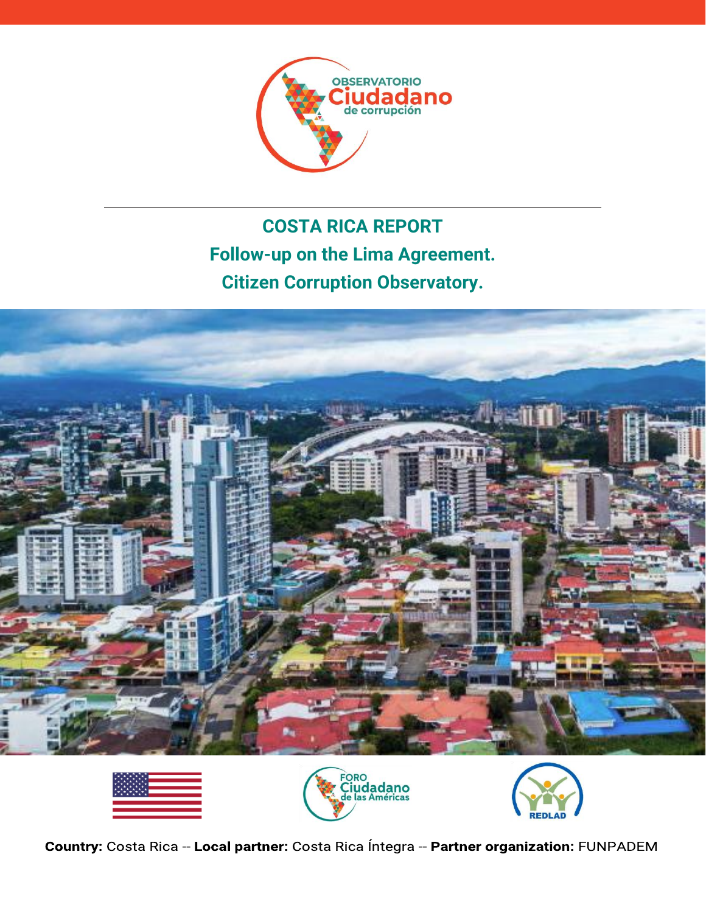

# **COSTA RICA REPORT Follow-up on the Lima Agreement. Citizen Corruption Observatory.**









Country: Costa Rica -- Local partner: Costa Rica Íntegra -- Partner organization: FUNPADEM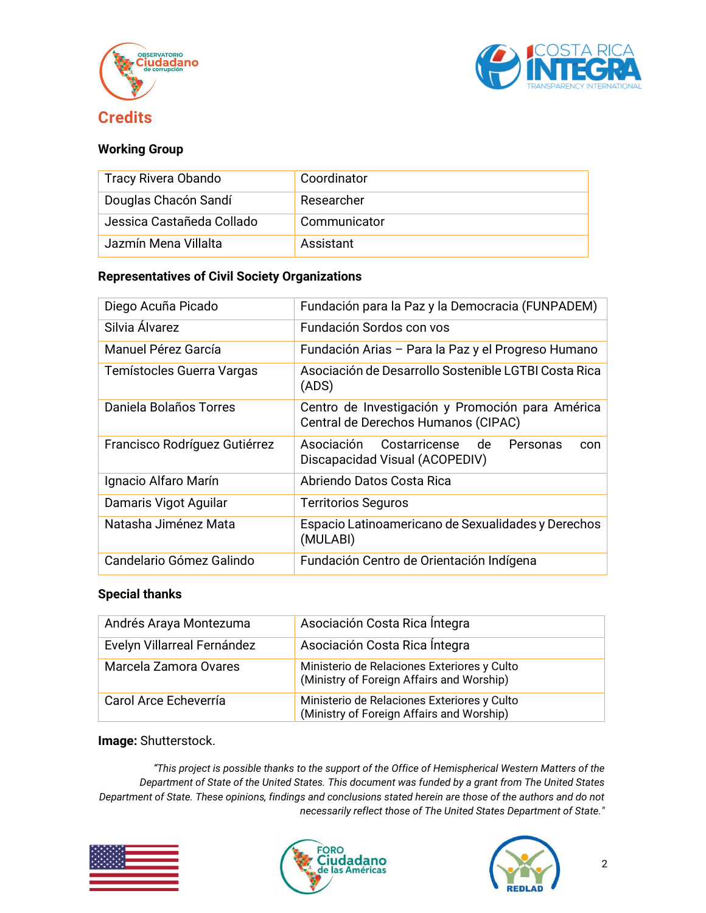



### <span id="page-1-0"></span>**Working Group**

| Tracy Rivera Obando       | Coordinator  |
|---------------------------|--------------|
| Douglas Chacón Sandí      | Researcher   |
| Jessica Castañeda Collado | Communicator |
| Jazmín Mena Villalta      | Assistant    |

#### **Representatives of Civil Society Organizations**

| Diego Acuña Picado            | Fundación para la Paz y la Democracia (FUNPADEM)                                        |  |
|-------------------------------|-----------------------------------------------------------------------------------------|--|
| Silvia Álvarez                | Fundación Sordos con vos                                                                |  |
| Manuel Pérez García           | Fundación Arias - Para la Paz y el Progreso Humano                                      |  |
| Temístocles Guerra Vargas     | Asociación de Desarrollo Sostenible LGTBI Costa Rica<br>(ADS)                           |  |
| Daniela Bolaños Torres        | Centro de Investigación y Promoción para América<br>Central de Derechos Humanos (CIPAC) |  |
| Francisco Rodríguez Gutiérrez | Asociación Costarricense de<br>Personas<br>con<br>Discapacidad Visual (ACOPEDIV)        |  |
| Ignacio Alfaro Marín          | Abriendo Datos Costa Rica                                                               |  |
| Damaris Vigot Aguilar         | <b>Territorios Seguros</b>                                                              |  |
| Natasha Jiménez Mata          | Espacio Latinoamericano de Sexualidades y Derechos<br>(MULABI)                          |  |
| Candelario Gómez Galindo      | Fundación Centro de Orientación Indígena                                                |  |

#### **Special thanks**

| Andrés Araya Montezuma      | Asociación Costa Rica Íntegra                                                            |  |
|-----------------------------|------------------------------------------------------------------------------------------|--|
| Evelyn Villarreal Fernández | Asociación Costa Rica Íntegra                                                            |  |
| Marcela Zamora Ovares       | Ministerio de Relaciones Exteriores y Culto<br>(Ministry of Foreign Affairs and Worship) |  |
| Carol Arce Echeverría       | Ministerio de Relaciones Exteriores y Culto<br>(Ministry of Foreign Affairs and Worship) |  |

#### **Image:** Shutterstock.

*"This project is possible thanks to the support of the Office of Hemispherical Western Matters of the Department of State of the United States. This document was funded by a grant from The United States Department of State. These opinions, findings and conclusions stated herein are those of the authors and do not necessarily reflect those of The United States Department of State."*





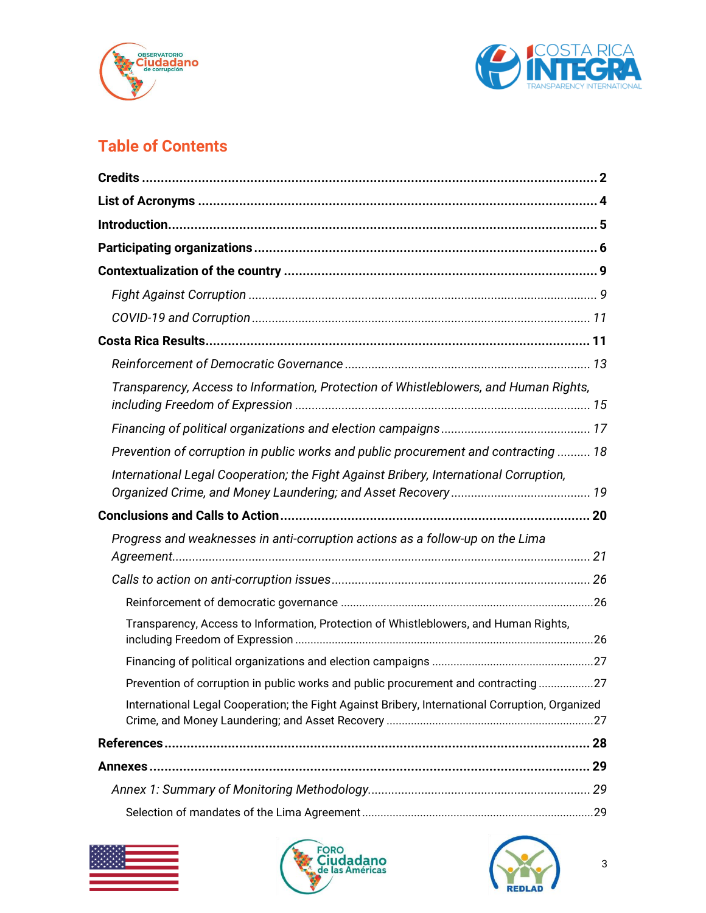



## **Table of Contents**

| Transparency, Access to Information, Protection of Whistleblowers, and Human Rights,            |  |
|-------------------------------------------------------------------------------------------------|--|
|                                                                                                 |  |
| Prevention of corruption in public works and public procurement and contracting  18             |  |
| International Legal Cooperation; the Fight Against Bribery, International Corruption,           |  |
|                                                                                                 |  |
| Progress and weaknesses in anti-corruption actions as a follow-up on the Lima                   |  |
|                                                                                                 |  |
|                                                                                                 |  |
| Transparency, Access to Information, Protection of Whistleblowers, and Human Rights,            |  |
|                                                                                                 |  |
| Prevention of corruption in public works and public procurement and contracting27               |  |
| International Legal Cooperation; the Fight Against Bribery, International Corruption, Organized |  |
|                                                                                                 |  |
|                                                                                                 |  |
|                                                                                                 |  |
|                                                                                                 |  |





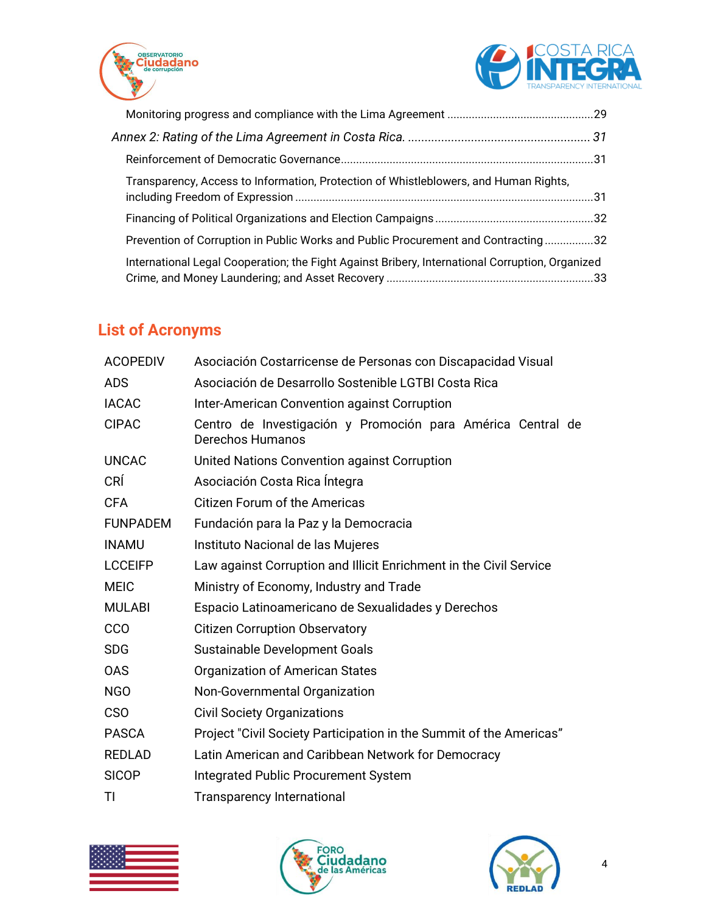



| Transparency, Access to Information, Protection of Whistleblowers, and Human Rights,            |  |
|-------------------------------------------------------------------------------------------------|--|
|                                                                                                 |  |
| Prevention of Corruption in Public Works and Public Procurement and Contracting32               |  |
| International Legal Cooperation; the Fight Against Bribery, International Corruption, Organized |  |

## <span id="page-3-0"></span>**List of Acronyms**

| <b>ACOPEDIV</b> | Asociación Costarricense de Personas con Discapacidad Visual                    |  |  |
|-----------------|---------------------------------------------------------------------------------|--|--|
| <b>ADS</b>      | Asociación de Desarrollo Sostenible LGTBI Costa Rica                            |  |  |
| <b>IACAC</b>    | Inter-American Convention against Corruption                                    |  |  |
| <b>CIPAC</b>    | Centro de Investigación y Promoción para América Central de<br>Derechos Humanos |  |  |
| <b>UNCAC</b>    | United Nations Convention against Corruption                                    |  |  |
| <b>CRÍ</b>      | Asociación Costa Rica Íntegra                                                   |  |  |
| <b>CFA</b>      | <b>Citizen Forum of the Americas</b>                                            |  |  |
| <b>FUNPADEM</b> | Fundación para la Paz y la Democracia                                           |  |  |
| <b>INAMU</b>    | Instituto Nacional de las Mujeres                                               |  |  |
| <b>LCCEIFP</b>  | Law against Corruption and Illicit Enrichment in the Civil Service              |  |  |
| <b>MEIC</b>     | Ministry of Economy, Industry and Trade                                         |  |  |
| <b>MULABI</b>   | Espacio Latinoamericano de Sexualidades y Derechos                              |  |  |
| <b>CCO</b>      | <b>Citizen Corruption Observatory</b>                                           |  |  |
| <b>SDG</b>      | Sustainable Development Goals                                                   |  |  |
| <b>OAS</b>      | <b>Organization of American States</b>                                          |  |  |
| <b>NGO</b>      | Non-Governmental Organization                                                   |  |  |
| <b>CSO</b>      | <b>Civil Society Organizations</b>                                              |  |  |
| <b>PASCA</b>    | Project "Civil Society Participation in the Summit of the Americas"             |  |  |
| <b>REDLAD</b>   | Latin American and Caribbean Network for Democracy                              |  |  |
| <b>SICOP</b>    | <b>Integrated Public Procurement System</b>                                     |  |  |
| TI              | <b>Transparency International</b>                                               |  |  |
|                 |                                                                                 |  |  |





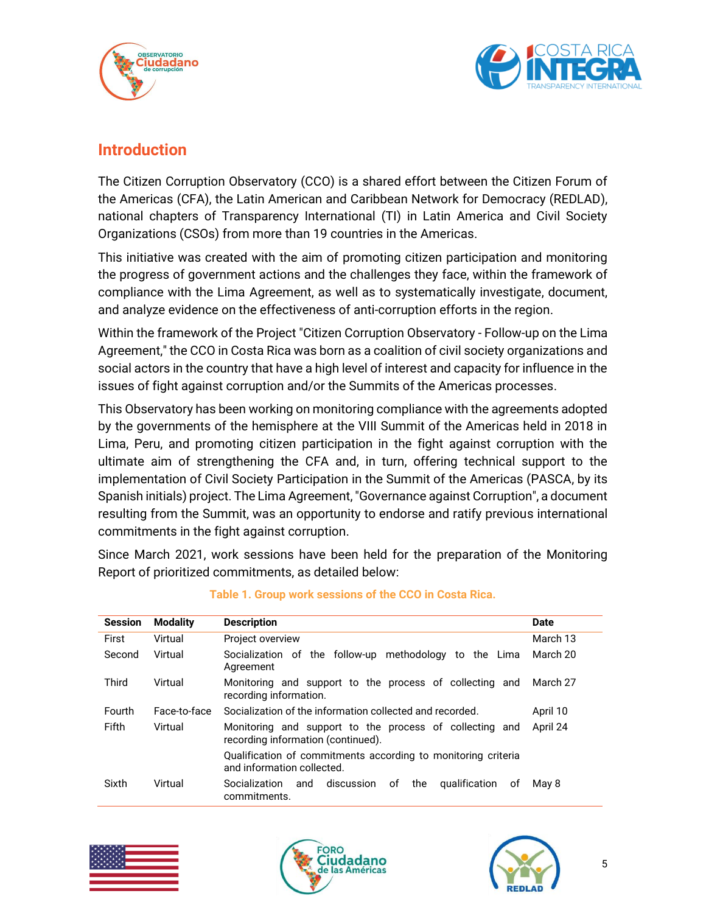



## <span id="page-4-0"></span>**Introduction**

The Citizen Corruption Observatory (CCO) is a shared effort between the Citizen Forum of the Americas (CFA), the Latin American and Caribbean Network for Democracy (REDLAD), national chapters of Transparency International (TI) in Latin America and Civil Society Organizations (CSOs) from more than 19 countries in the Americas.

This initiative was created with the aim of promoting citizen participation and monitoring the progress of government actions and the challenges they face, within the framework of compliance with the Lima Agreement, as well as to systematically investigate, document, and analyze evidence on the effectiveness of anti-corruption efforts in the region.

Within the framework of the Project "Citizen Corruption Observatory - Follow-up on the Lima Agreement," the CCO in Costa Rica was born as a coalition of civil society organizations and social actors in the country that have a high level of interest and capacity for influence in the issues of fight against corruption and/or the Summits of the Americas processes.

This Observatory has been working on monitoring compliance with the agreements adopted by the governments of the hemisphere at the VIII Summit of the Americas held in 2018 in Lima, Peru, and promoting citizen participation in the fight against corruption with the ultimate aim of strengthening the CFA and, in turn, offering technical support to the implementation of Civil Society Participation in the Summit of the Americas (PASCA, by its Spanish initials) project. The Lima Agreement, "Governance against Corruption", a document resulting from the Summit, was an opportunity to endorse and ratify previous international commitments in the fight against corruption.

Since March 2021, work sessions have been held for the preparation of the Monitoring Report of prioritized commitments, as detailed below:

| <b>Session</b> | <b>Modality</b> | <b>Description</b>                                                                            | <b>Date</b> |
|----------------|-----------------|-----------------------------------------------------------------------------------------------|-------------|
| First          | Virtual         | Project overview                                                                              | March 13    |
| Second         | Virtual         | Socialization of the follow-up methodology to the Lima<br>Agreement                           | March 20    |
| Third          | Virtual         | Monitoring and support to the process of collecting and March 27<br>recording information.    |             |
| Fourth         | Face-to-face    | Socialization of the information collected and recorded.                                      | April 10    |
| Fifth          | Virtual         | Monitoring and support to the process of collecting and<br>recording information (continued). | April 24    |
|                |                 | Qualification of commitments according to monitoring criteria<br>and information collected.   |             |
| Sixth          | Virtual         | discussion<br><b>Socialization</b><br>оf<br>the<br>qualification<br>оf<br>and<br>commitments. | May 8       |

#### **Table 1. Group work sessions of the CCO in Costa Rica.**





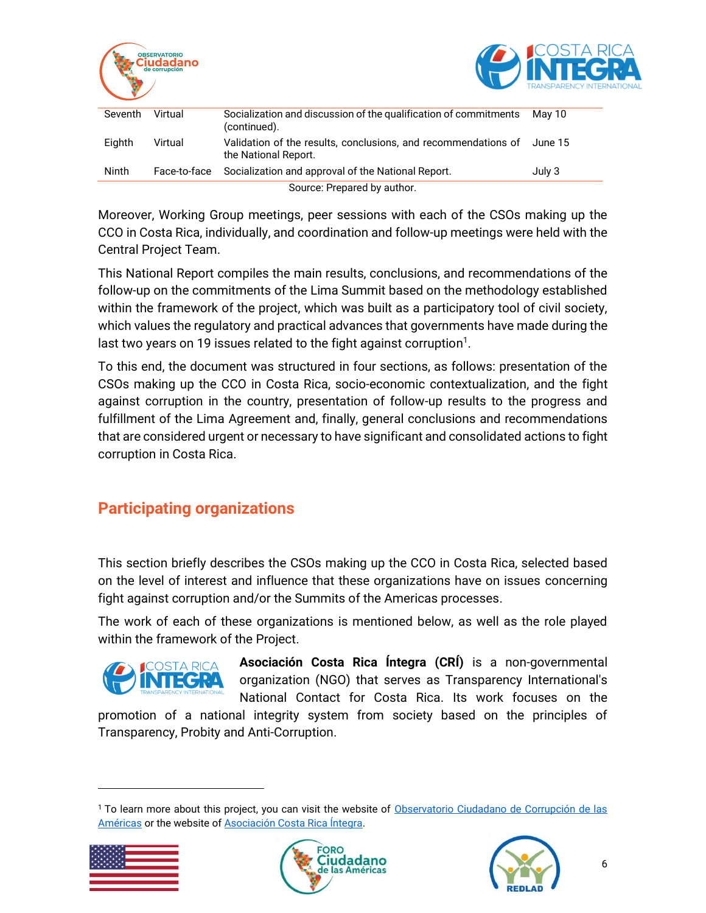



| Seventh                     | Virtual      | Socialization and discussion of the qualification of commitments<br>(continued).       | Mav 10  |
|-----------------------------|--------------|----------------------------------------------------------------------------------------|---------|
| Eighth                      | Virtual      | Validation of the results, conclusions, and recommendations of<br>the National Report. | June 15 |
| Ninth                       | Face-to-face | Socialization and approval of the National Report.                                     | July 3  |
| Source: Prepared by author. |              |                                                                                        |         |

Moreover, Working Group meetings, peer sessions with each of the CSOs making up the CCO in Costa Rica, individually, and coordination and follow-up meetings were held with the Central Project Team.

This National Report compiles the main results, conclusions, and recommendations of the follow-up on the commitments of the Lima Summit based on the methodology established within the framework of the project, which was built as a participatory tool of civil society, which values the regulatory and practical advances that governments have made during the last two years on 19 issues related to the fight against corruption $^1\!\!$  .

To this end, the document was structured in four sections, as follows: presentation of the CSOs making up the CCO in Costa Rica, socio-economic contextualization, and the fight against corruption in the country, presentation of follow-up results to the progress and fulfillment of the Lima Agreement and, finally, general conclusions and recommendations that are considered urgent or necessary to have significant and consolidated actions to fight corruption in Costa Rica.

## <span id="page-5-0"></span>**Participating organizations**

This section briefly describes the CSOs making up the CCO in Costa Rica, selected based on the level of interest and influence that these organizations have on issues concerning fight against corruption and/or the Summits of the Americas processes.

The work of each of these organizations is mentioned below, as well as the role played within the framework of the Project.



**Asociación Costa Rica Íntegra (CRÍ)** is a non-governmental organization (NGO) that serves as Transparency International's National Contact for Costa Rica. Its work focuses on the

promotion of a national integrity system from society based on the principles of Transparency, Probity and Anti-Corruption.

<sup>&</sup>lt;sup>1</sup> To learn more about this project, you can visit the website of Observatorio Ciudadano de Corrupción de las [Américas](https://occ-america.com/) or the website o[f Asociación Costa Rica Íntegra.](https://costaricaintegra.org/observatorio-ciudadano-de-corrupcion-de-las-americas-occ/)





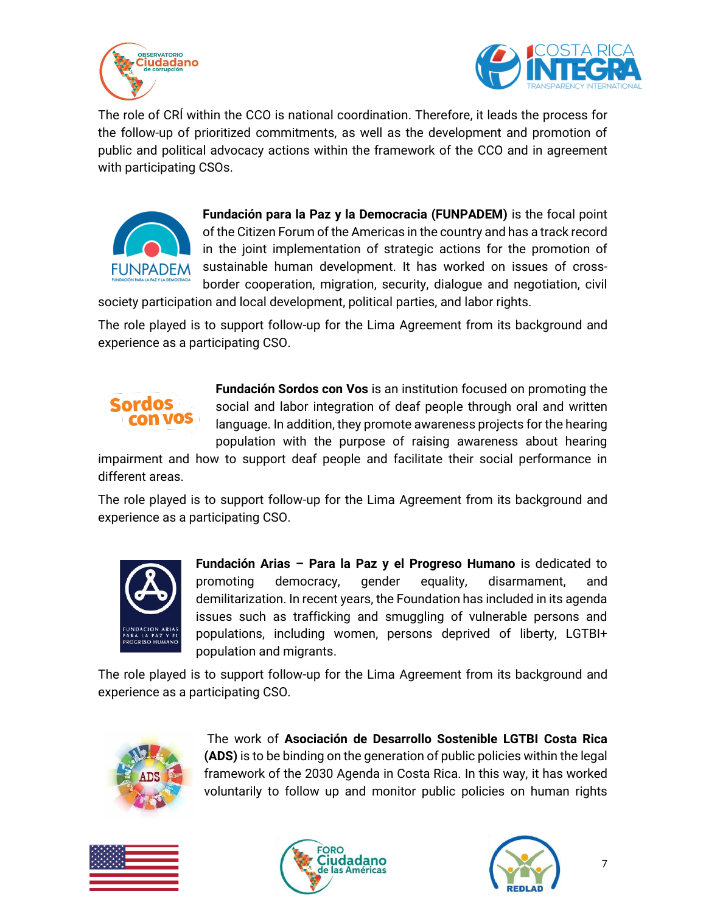



The role of CRÍ within the CCO is national coordination. Therefore, it leads the process for the follow-up of prioritized commitments, as well as the development and promotion of public and political advocacy actions within the framework of the CCO and in agreement with participating CSOs.



**Fundación para la Paz y la Democracia (FUNPADEM)** is the focal point of the Citizen Forum of the Americas in the country and has a track record in the joint implementation of strategic actions for the promotion of sustainable human development. It has worked on issues of crossborder cooperation, migration, security, dialogue and negotiation, civil

society participation and local development, political parties, and labor rights.

The role played is to support follow-up for the Lima Agreement from its background and experience as a participating CSO.

## Sordos con VOS

**Fundación Sordos con Vos** is an institution focused on promoting the social and labor integration of deaf people through oral and written language. In addition, they promote awareness projects for the hearing population with the purpose of raising awareness about hearing

impairment and how to support deaf people and facilitate their social performance in different areas.

The role played is to support follow-up for the Lima Agreement from its background and experience as a participating CSO.



**Fundación Arias – Para la Paz y el Progreso Humano** is dedicated to promoting democracy, gender equality, disarmament, and demilitarization. In recent years, the Foundation has included in its agenda issues such as trafficking and smuggling of vulnerable persons and populations, including women, persons deprived of liberty, LGTBI+ population and migrants.

The role played is to support follow-up for the Lima Agreement from its background and experience as a participating CSO.



The work of **Asociación de Desarrollo Sostenible LGTBI Costa Rica (ADS)** is to be binding on the generation of public policies within the legal framework of the 2030 Agenda in Costa Rica. In this way, it has worked voluntarily to follow up and monitor public policies on human rights





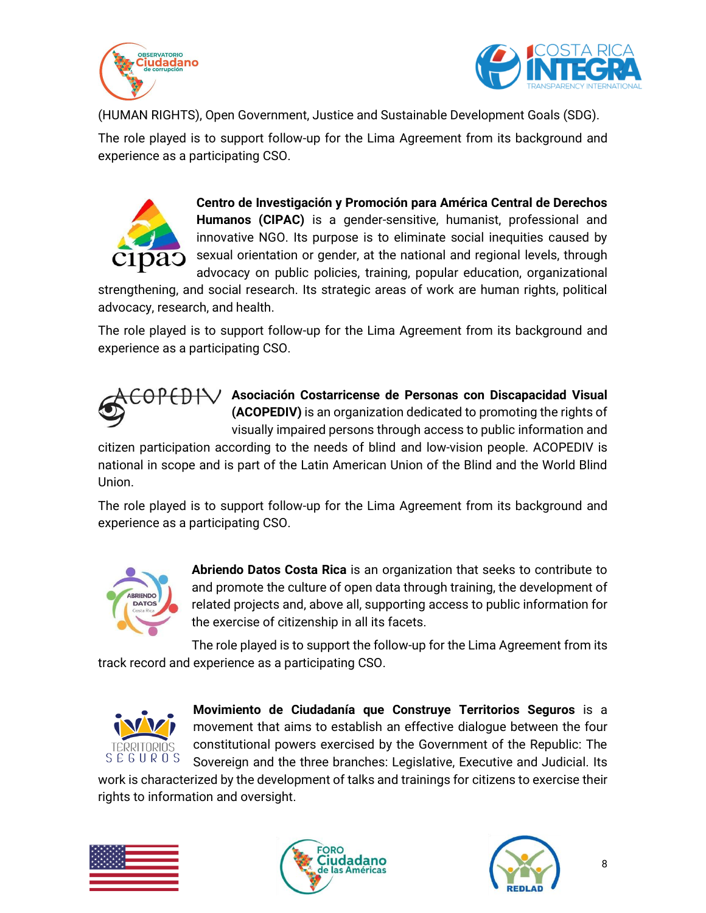



(HUMAN RIGHTS), Open Government, Justice and Sustainable Development Goals (SDG).

The role played is to support follow-up for the Lima Agreement from its background and experience as a participating CSO.



**Centro de Investigación y Promoción para América Central de Derechos Humanos (CIPAC)** is a gender-sensitive, humanist, professional and innovative NGO. Its purpose is to eliminate social inequities caused by sexual orientation or gender, at the national and regional levels, through advocacy on public policies, training, popular education, organizational

strengthening, and social research. Its strategic areas of work are human rights, political advocacy, research, and health.

The role played is to support follow-up for the Lima Agreement from its background and experience as a participating CSO.



**Asociación Costarricense de Personas con Discapacidad Visual (ACOPEDIV)** is an organization dedicated to promoting the rights of visually impaired persons through access to public information and

citizen participation according to the needs of blind and low-vision people. ACOPEDIV is national in scope and is part of the Latin American Union of the Blind and the World Blind Union.

The role played is to support follow-up for the Lima Agreement from its background and experience as a participating CSO.



**Abriendo Datos Costa Rica** is an organization that seeks to contribute to and promote the culture of open data through training, the development of related projects and, above all, supporting access to public information for the exercise of citizenship in all its facets.

The role played is to support the follow-up for the Lima Agreement from its track record and experience as a participating CSO.



**Movimiento de Ciudadanía que Construye Territorios Seguros** is a movement that aims to establish an effective dialogue between the four constitutional powers exercised by the Government of the Republic: The Sovereign and the three branches: Legislative, Executive and Judicial. Its

work is characterized by the development of talks and trainings for citizens to exercise their rights to information and oversight.





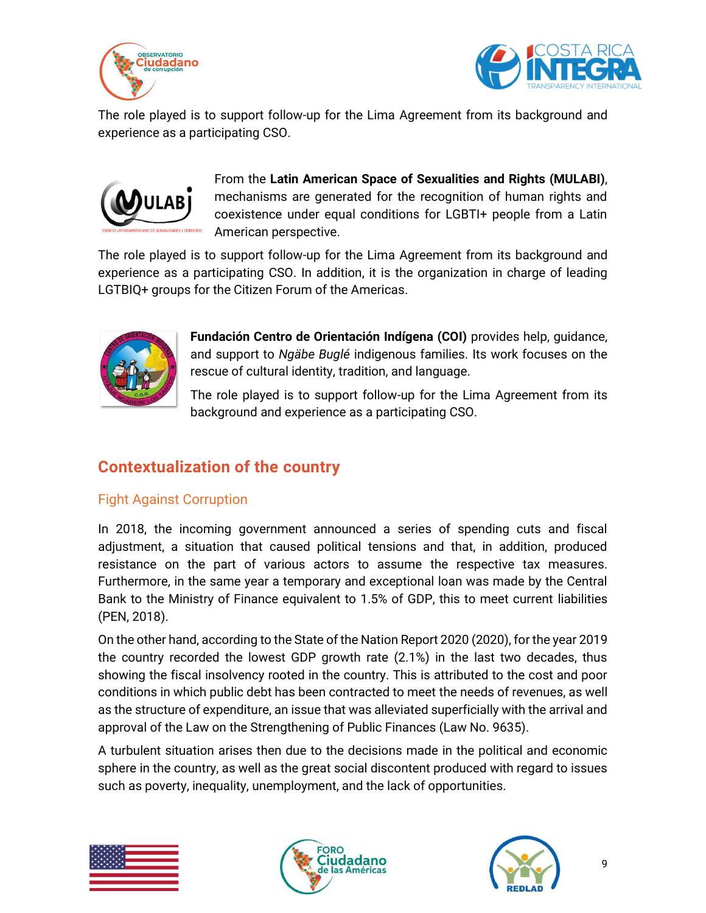



The role played is to support follow-up for the Lima Agreement from its background and experience as a participating CSO.



From the **Latin American Space of Sexualities and Rights (MULABI)**, mechanisms are generated for the recognition of human rights and coexistence under equal conditions for LGBTI+ people from a Latin American perspective.

The role played is to support follow-up for the Lima Agreement from its background and experience as a participating CSO. In addition, it is the organization in charge of leading LGTBIQ+ groups for the Citizen Forum of the Americas.



**Fundación Centro de Orientación Indígena (COI)** provides help, guidance, and support to *Ngäbe Buglé* indigenous families. Its work focuses on the rescue of cultural identity, tradition, and language.

The role played is to support follow-up for the Lima Agreement from its background and experience as a participating CSO.

## <span id="page-8-0"></span>**Contextualization of the country**

## <span id="page-8-1"></span>Fight Against Corruption

In 2018, the incoming government announced a series of spending cuts and fiscal adjustment, a situation that caused political tensions and that, in addition, produced resistance on the part of various actors to assume the respective tax measures. Furthermore, in the same year a temporary and exceptional loan was made by the Central Bank to the Ministry of Finance equivalent to 1.5% of GDP, this to meet current liabilities (PEN, 2018).

On the other hand, according to the State of the Nation Report 2020 (2020), for the year 2019 the country recorded the lowest GDP growth rate (2.1%) in the last two decades, thus showing the fiscal insolvency rooted in the country. This is attributed to the cost and poor conditions in which public debt has been contracted to meet the needs of revenues, as well as the structure of expenditure, an issue that was alleviated superficially with the arrival and approval of the Law on the Strengthening of Public Finances (Law No. 9635).

A turbulent situation arises then due to the decisions made in the political and economic sphere in the country, as well as the great social discontent produced with regard to issues such as poverty, inequality, unemployment, and the lack of opportunities.





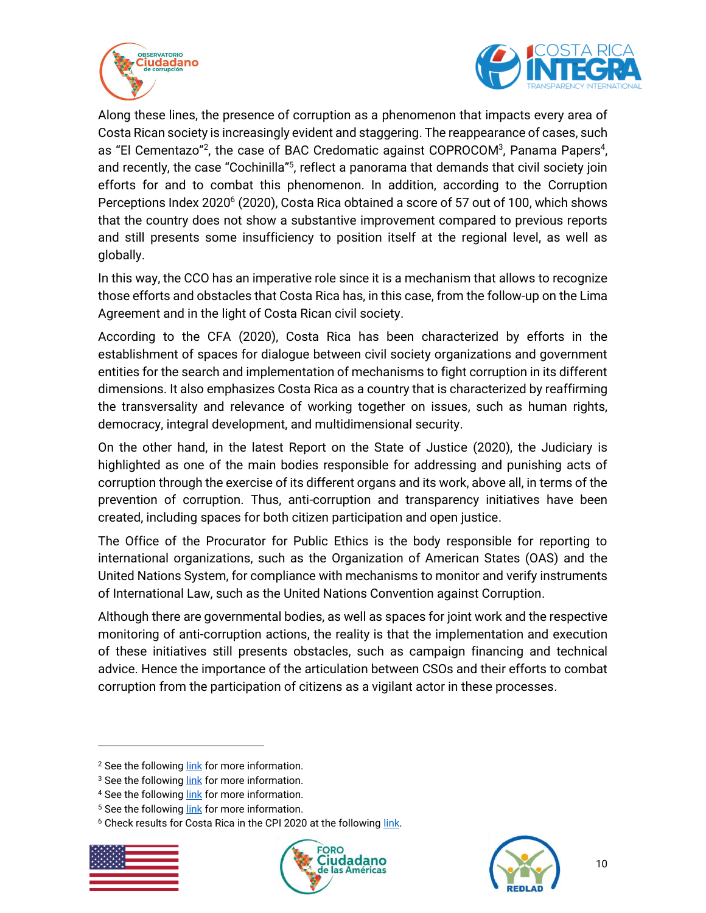



Along these lines, the presence of corruption as a phenomenon that impacts every area of Costa Rican society is increasingly evident and staggering. The reappearance of cases, such as "El Cementazo"<sup>2</sup>, the case of BAC Credomatic against COPROCOM<sup>3</sup>, Panama Papers<sup>4</sup>, and recently, the case "Cochinilla"<sup>5</sup>, reflect a panorama that demands that civil society join efforts for and to combat this phenomenon. In addition, according to the Corruption Perceptions Index 2020<sup>6</sup> (2020), Costa Rica obtained a score of 57 out of 100, which shows that the country does not show a substantive improvement compared to previous reports and still presents some insufficiency to position itself at the regional level, as well as globally.

In this way, the CCO has an imperative role since it is a mechanism that allows to recognize those efforts and obstacles that Costa Rica has, in this case, from the follow-up on the Lima Agreement and in the light of Costa Rican civil society.

According to the CFA (2020), Costa Rica has been characterized by efforts in the establishment of spaces for dialogue between civil society organizations and government entities for the search and implementation of mechanisms to fight corruption in its different dimensions. It also emphasizes Costa Rica as a country that is characterized by reaffirming the transversality and relevance of working together on issues, such as human rights, democracy, integral development, and multidimensional security.

On the other hand, in the latest Report on the State of Justice (2020), the Judiciary is highlighted as one of the main bodies responsible for addressing and punishing acts of corruption through the exercise of its different organs and its work, above all, in terms of the prevention of corruption. Thus, anti-corruption and transparency initiatives have been created, including spaces for both citizen participation and open justice.

The Office of the Procurator for Public Ethics is the body responsible for reporting to international organizations, such as the Organization of American States (OAS) and the United Nations System, for compliance with mechanisms to monitor and verify instruments of International Law, such as the United Nations Convention against Corruption.

Although there are governmental bodies, as well as spaces for joint work and the respective monitoring of anti-corruption actions, the reality is that the implementation and execution of these initiatives still presents obstacles, such as campaign financing and technical advice. Hence the importance of the articulation between CSOs and their efforts to combat corruption from the participation of citizens as a vigilant actor in these processes.

<sup>&</sup>lt;sup>6</sup> Check results for Costa Rica in the CPI 2020 at the following [link.](https://drive.google.com/drive/u/0/folders/1GJ7Kgy5A-HWIkgpbIDXQSTfK41w0ud1s)







<sup>&</sup>lt;sup>2</sup> See the following [link](https://delfino.cr/2019/09/cronica-de-una-multa-historica-no-aplicada) for more information.

<sup>&</sup>lt;sup>3</sup> See the following [link](https://delfino.cr/2020/02/cementazo-banco-popular-acusan-9-personas-de-falsedad-ideologica-e-influencia-contra-la-hacienda-publica) for more information.

<sup>4</sup> See the following [link](https://www.hacienda.go.cr/docs/58d1ad7f68758_InfografIa%20Panama%20Papers.pdf) for more information.

<sup>&</sup>lt;sup>5</sup> See the following [link](https://www.dw.com/es/costa-rica-piden-un-a%C3%B1o-de-prisi%C3%B3n-preventiva-por-caso-cochinilla/a-57962436) for more information.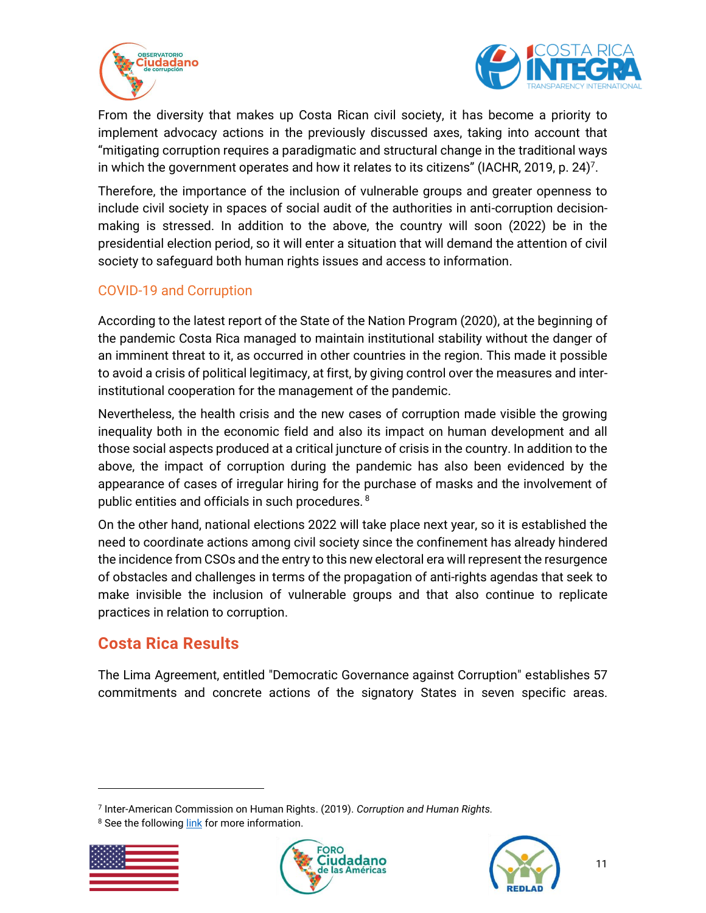



From the diversity that makes up Costa Rican civil society, it has become a priority to implement advocacy actions in the previously discussed axes, taking into account that "mitigating corruption requires a paradigmatic and structural change in the traditional ways in which the government operates and how it relates to its citizens" (IACHR, 2019, p. 24)<sup>7</sup>.

Therefore, the importance of the inclusion of vulnerable groups and greater openness to include civil society in spaces of social audit of the authorities in anti-corruption decisionmaking is stressed. In addition to the above, the country will soon (2022) be in the presidential election period, so it will enter a situation that will demand the attention of civil society to safeguard both human rights issues and access to information.

## <span id="page-10-0"></span>COVID-19 and Corruption

According to the latest report of the State of the Nation Program (2020), at the beginning of the pandemic Costa Rica managed to maintain institutional stability without the danger of an imminent threat to it, as occurred in other countries in the region. This made it possible to avoid a crisis of political legitimacy, at first, by giving control over the measures and interinstitutional cooperation for the management of the pandemic.

Nevertheless, the health crisis and the new cases of corruption made visible the growing inequality both in the economic field and also its impact on human development and all those social aspects produced at a critical juncture of crisis in the country. In addition to the above, the impact of corruption during the pandemic has also been evidenced by the appearance of cases of irregular hiring for the purchase of masks and the involvement of public entities and officials in such procedures. <sup>8</sup>

On the other hand, national elections 2022 will take place next year, so it is established the need to coordinate actions among civil society since the confinement has already hindered the incidence from CSOs and the entry to this new electoral era will represent the resurgence of obstacles and challenges in terms of the propagation of anti-rights agendas that seek to make invisible the inclusion of vulnerable groups and that also continue to replicate practices in relation to corruption.

## <span id="page-10-1"></span>**Costa Rica Results**

The Lima Agreement, entitled "Democratic Governance against Corruption" establishes 57 commitments and concrete actions of the signatory States in seven specific areas.

<sup>&</sup>lt;sup>8</sup> See the following [link](https://semanariouniversidad.com/pais/ministerio-publico-investigara-a-ccss-por-compra-de-12-millones-de-mascarillas/) for more information.







<sup>7</sup> Inter-American Commission on Human Rights. (2019). *Corruption and Human Rights.*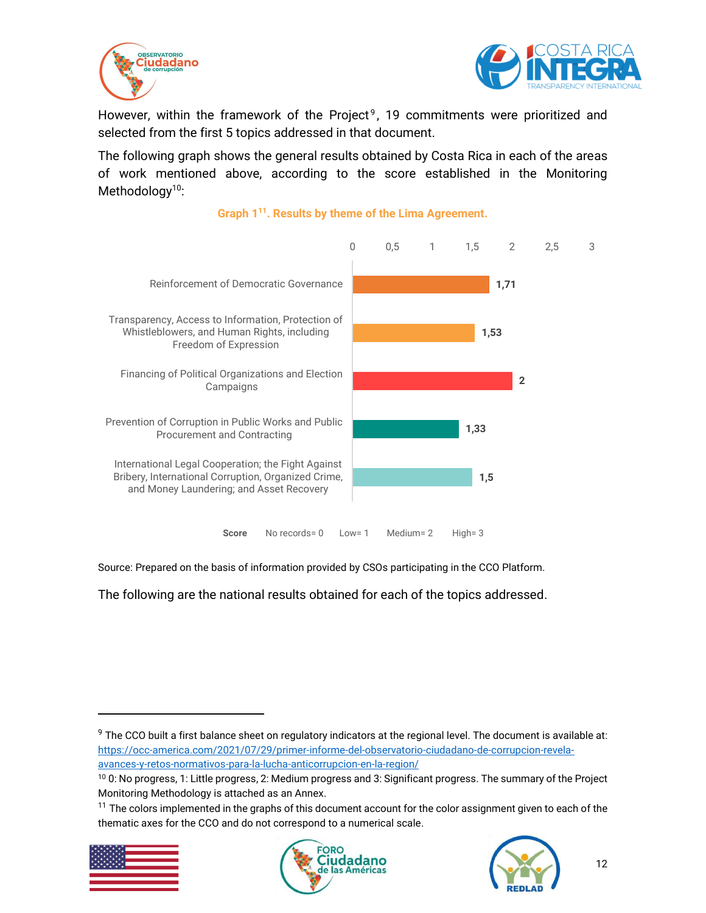



However, within the framework of the Project<sup>9</sup>, 19 commitments were prioritized and selected from the first 5 topics addressed in that document.

The following graph shows the general results obtained by Costa Rica in each of the areas of work mentioned above, according to the score established in the Monitoring Methodology<sup>10</sup>:



#### **Graph 1 11 . Results by theme of the Lima Agreement.**

Source: Prepared on the basis of information provided by CSOs participating in the CCO Platform.

The following are the national results obtained for each of the topics addressed.

 $11$  The colors implemented in the graphs of this document account for the color assignment given to each of the thematic axes for the CCO and do not correspond to a numerical scale.







<sup>&</sup>lt;sup>9</sup> The CCO built a first balance sheet on regulatory indicators at the regional level. The document is available at: [https://occ-america.com/2021/07/29/primer-informe-del-observatorio-ciudadano-de-corrupcion-revela](https://occ-america.com/2021/07/29/primer-informe-del-observatorio-ciudadano-de-corrupcion-revela-avances-y-retos-normativos-para-la-lucha-anticorrupcion-en-la-region/)[avances-y-retos-normativos-para-la-lucha-anticorrupcion-en-la-region/](https://occ-america.com/2021/07/29/primer-informe-del-observatorio-ciudadano-de-corrupcion-revela-avances-y-retos-normativos-para-la-lucha-anticorrupcion-en-la-region/)

<sup>10</sup> 0: No progress, 1: Little progress, 2: Medium progress and 3: Significant progress. The summary of the Project Monitoring Methodology is attached as an Annex.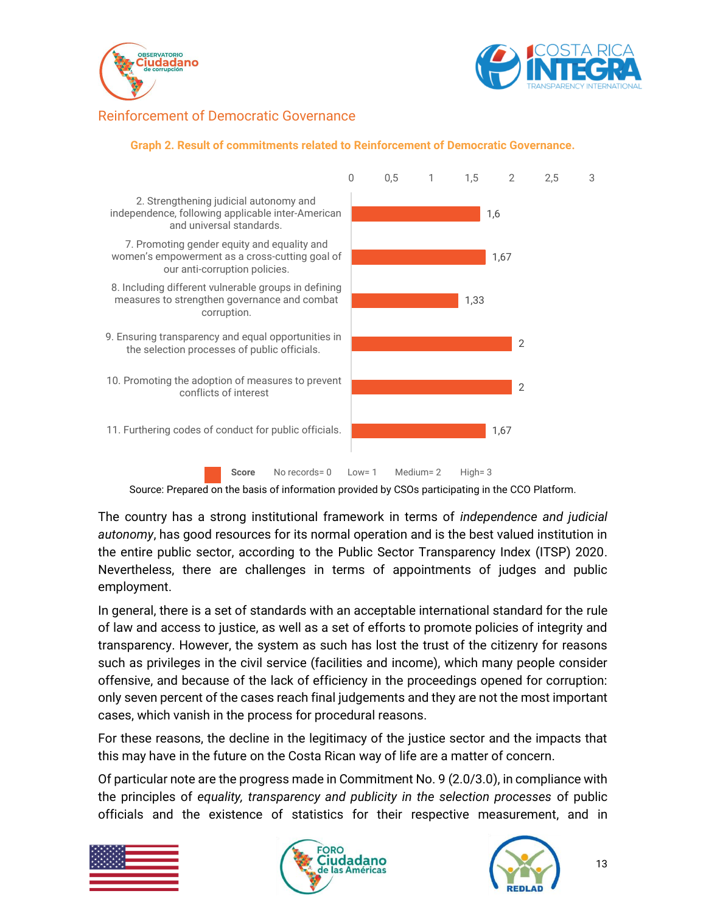



### <span id="page-12-0"></span>Reinforcement of Democratic Governance



#### **Graph 2. Result of commitments related to Reinforcement of Democratic Governance.**

Source: Prepared on the basis of information provided by CSOs participating in the CCO Platform.

The country has a strong institutional framework in terms of *independence and judicial autonomy*, has good resources for its normal operation and is the best valued institution in the entire public sector, according to the Public Sector Transparency Index (ITSP) 2020. Nevertheless, there are challenges in terms of appointments of judges and public employment.

In general, there is a set of standards with an acceptable international standard for the rule of law and access to justice, as well as a set of efforts to promote policies of integrity and transparency. However, the system as such has lost the trust of the citizenry for reasons such as privileges in the civil service (facilities and income), which many people consider offensive, and because of the lack of efficiency in the proceedings opened for corruption: only seven percent of the cases reach final judgements and they are not the most important cases, which vanish in the process for procedural reasons.

For these reasons, the decline in the legitimacy of the justice sector and the impacts that this may have in the future on the Costa Rican way of life are a matter of concern.

Of particular note are the progress made in Commitment No. 9 (2.0/3.0), in compliance with the principles of *equality, transparency and publicity in the selection processes* of public officials and the existence of statistics for their respective measurement, and in





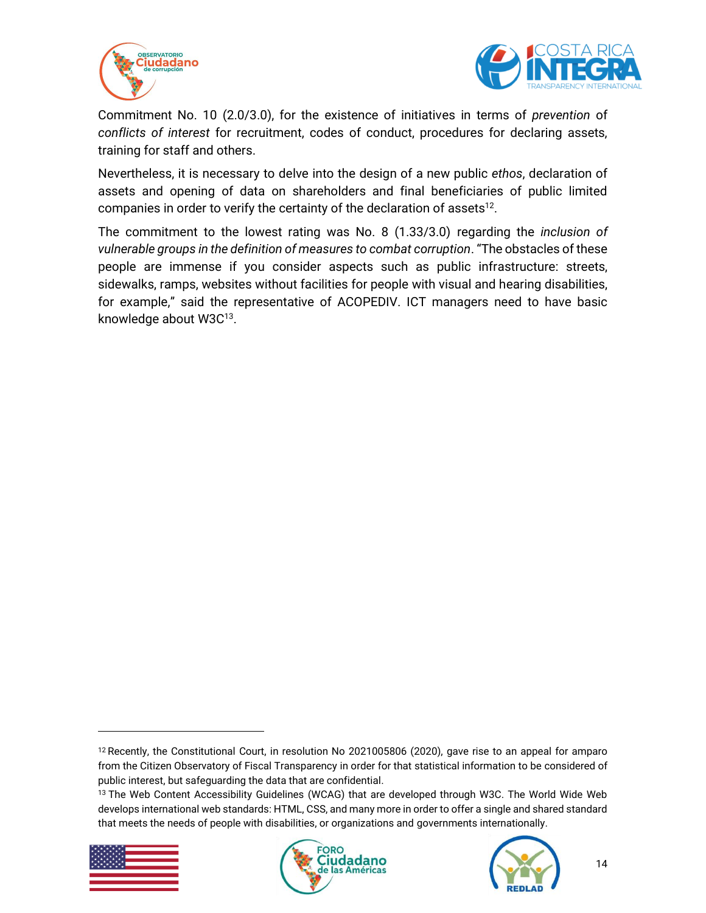



Commitment No. 10 (2.0/3.0), for the existence of initiatives in terms of *prevention* of *conflicts of interest* for recruitment, codes of conduct, procedures for declaring assets, training for staff and others.

Nevertheless, it is necessary to delve into the design of a new public *ethos*, declaration of assets and opening of data on shareholders and final beneficiaries of public limited companies in order to verify the certainty of the declaration of assets $^{12}$ .

The commitment to the lowest rating was No. 8 (1.33/3.0) regarding the *inclusion of vulnerable groups in the definition of measures to combat corruption*. "The obstacles of these people are immense if you consider aspects such as public infrastructure: streets, sidewalks, ramps, websites without facilities for people with visual and hearing disabilities, for example," said the representative of ACOPEDIV. ICT managers need to have basic knowledge about W3C<sup>13</sup>.

<sup>&</sup>lt;sup>13</sup> The Web Content Accessibility Guidelines (WCAG) that are developed through W3C. The World Wide Web develops international web standards: HTML, CSS, and many more in order to offer a single and shared standard that meets the needs of people with disabilities, or organizations and governments internationally.







<sup>12</sup> Recently, the Constitutional Court, in resolution No 2021005806 (2020), gave rise to an appeal for amparo from the Citizen Observatory of Fiscal Transparency in order for that statistical information to be considered of public interest, but safeguarding the data that are confidential.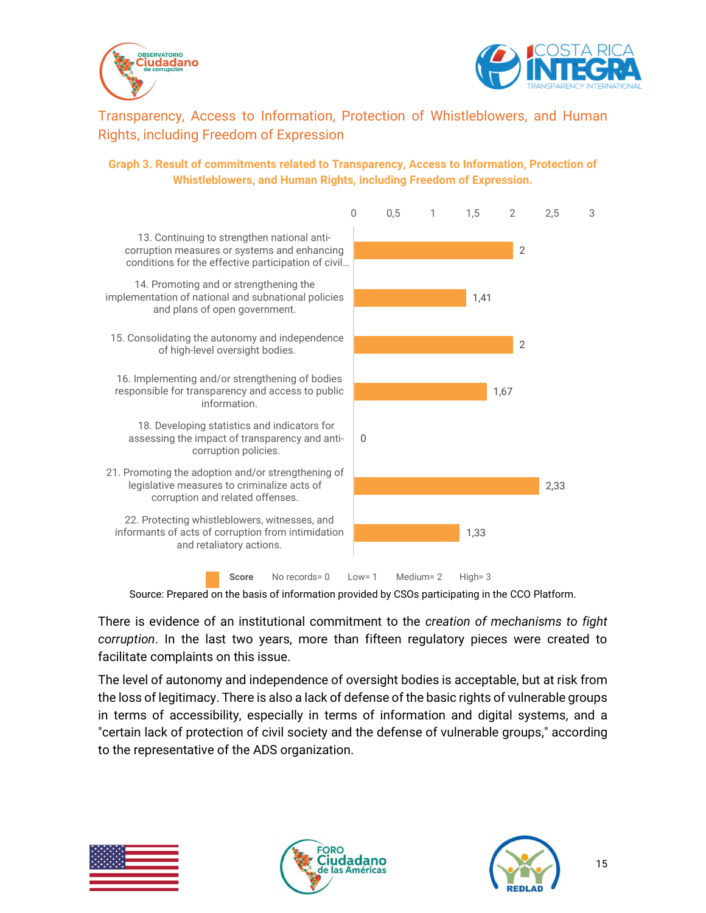



<span id="page-14-0"></span>Transparency, Access to Information, Protection of Whistleblowers, and Human Rights, including Freedom of Expression

#### **Graph 3. Result of commitments related to Transparency, Access to Information, Protection of Whistleblowers, and Human Rights, including Freedom of Expression.**



Source: Prepared on the basis of information provided by CSOs participating in the CCO Platform.

There is evidence of an institutional commitment to the *creation of mechanisms to fight corruption*. In the last two years, more than fifteen regulatory pieces were created to facilitate complaints on this issue.

The level of autonomy and independence of oversight bodies is acceptable, but at risk from the loss of legitimacy. There is also a lack of defense of the basic rights of vulnerable groups in terms of accessibility, especially in terms of information and digital systems, and a "certain lack of protection of civil society and the defense of vulnerable groups," according to the representative of the ADS organization.





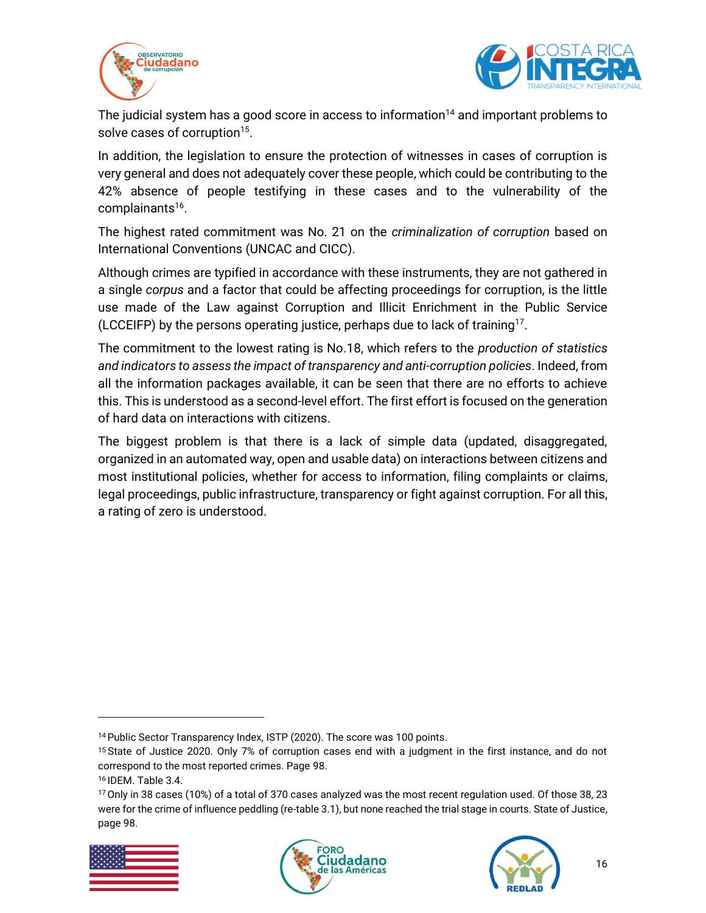



The judicial system has a good score in access to information<sup>14</sup> and important problems to solve cases of corruption<sup>15</sup>.

In addition, the legislation to ensure the protection of witnesses in cases of corruption is very general and does not adequately cover these people, which could be contributing to the 42% absence of people testifying in these cases and to the vulnerability of the complainants 16 .

The highest rated commitment was No. 21 on the *criminalization of corruption* based on International Conventions (UNCAC and CICC).

Although crimes are typified in accordance with these instruments, they are not gathered in a single *corpus* and a factor that could be affecting proceedings for corruption, is the little use made of the Law against Corruption and Illicit Enrichment in the Public Service (LCCEIFP) by the persons operating justice, perhaps due to lack of training<sup>17</sup>.

The commitment to the lowest rating is No.18, which refers to the *production of statistics and indicators to assess the impact of transparency and anti-corruption policies*. Indeed, from all the information packages available, it can be seen that there are no efforts to achieve this. This is understood as a second-level effort. The first effort is focused on the generation of hard data on interactions with citizens.

The biggest problem is that there is a lack of simple data (updated, disaggregated, organized in an automated way, open and usable data) on interactions between citizens and most institutional policies, whether for access to information, filing complaints or claims, legal proceedings, public infrastructure, transparency or fight against corruption. For all this, a rating of zero is understood.

<sup>&</sup>lt;sup>17</sup> Only in 38 cases (10%) of a total of 370 cases analyzed was the most recent regulation used. Of those 38, 23 were for the crime of influence peddling (re-table 3.1), but none reached the trial stage in courts. State of Justice, page 98.







<sup>&</sup>lt;sup>14</sup> Public Sector Transparency Index, ISTP (2020). The score was 100 points.

<sup>15</sup> State of Justice 2020. Only 7% of corruption cases end with a judgment in the first instance, and do not correspond to the most reported crimes. Page 98.

<sup>16</sup> IDEM. Table 3.4.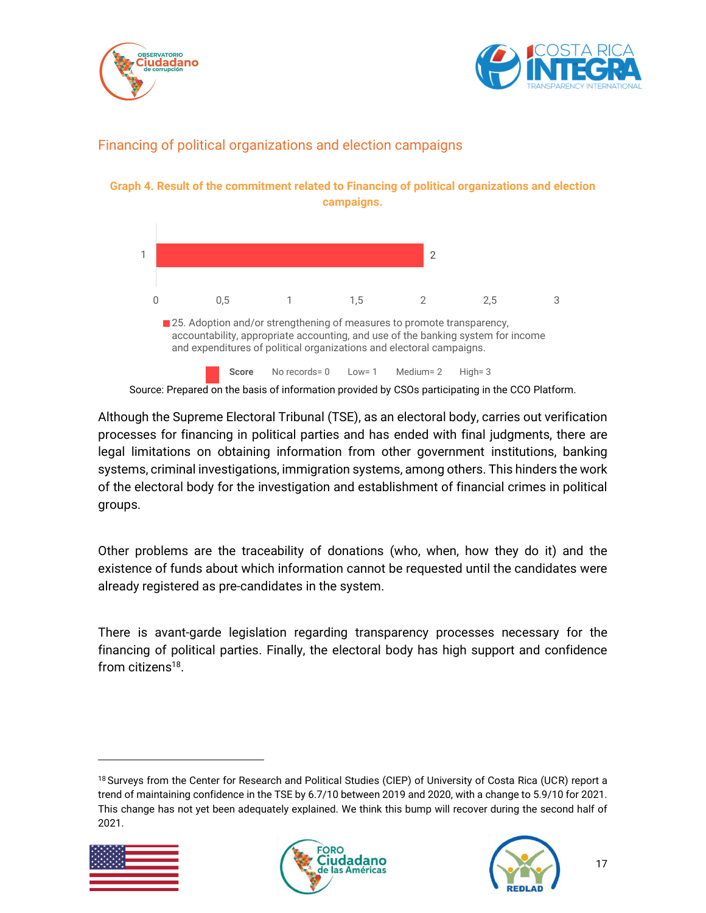



## <span id="page-16-0"></span>Financing of political organizations and election campaigns

**Graph 4. Result of the commitment related to Financing of political organizations and election campaigns.**



Source: Prepared on the basis of information provided by CSOs participating in the CCO Platform.

Although the Supreme Electoral Tribunal (TSE), as an electoral body, carries out verification processes for financing in political parties and has ended with final judgments, there are legal limitations on obtaining information from other government institutions, banking systems, criminal investigations, immigration systems, among others. This hinders the work of the electoral body for the investigation and establishment of financial crimes in political groups.

Other problems are the traceability of donations (who, when, how they do it) and the existence of funds about which information cannot be requested until the candidates were already registered as pre-candidates in the system.

There is avant-garde legislation regarding transparency processes necessary for the financing of political parties. Finally, the electoral body has high support and confidence from citizens<sup>18</sup>.

<sup>18</sup> Surveys from the Center for Research and Political Studies (CIEP) of University of Costa Rica (UCR) report a trend of maintaining confidence in the TSE by 6.7/10 between 2019 and 2020, with a change to 5.9/10 for 2021. This change has not yet been adequately explained. We think this bump will recover during the second half of 2021.





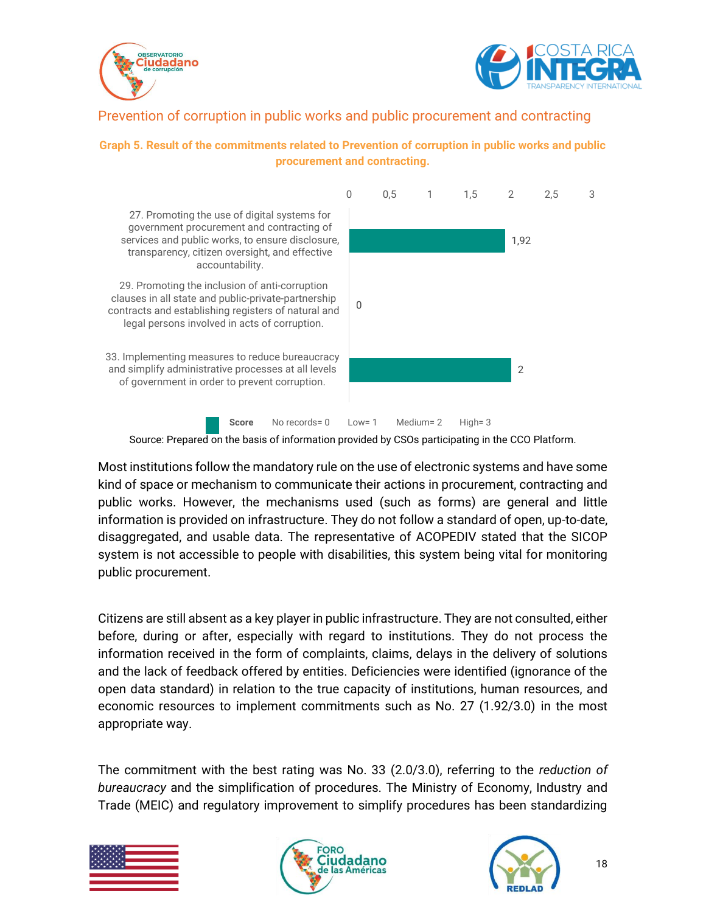



### <span id="page-17-0"></span>Prevention of corruption in public works and public procurement and contracting

#### **Graph 5. Result of the commitments related to Prevention of corruption in public works and public procurement and contracting.**



Source: Prepared on the basis of information provided by CSOs participating in the CCO Platform.

Most institutions follow the mandatory rule on the use of electronic systems and have some kind of space or mechanism to communicate their actions in procurement, contracting and public works. However, the mechanisms used (such as forms) are general and little information is provided on infrastructure. They do not follow a standard of open, up-to-date, disaggregated, and usable data. The representative of ACOPEDIV stated that the SICOP system is not accessible to people with disabilities, this system being vital for monitoring public procurement.

Citizens are still absent as a key player in public infrastructure. They are not consulted, either before, during or after, especially with regard to institutions. They do not process the information received in the form of complaints, claims, delays in the delivery of solutions and the lack of feedback offered by entities. Deficiencies were identified (ignorance of the open data standard) in relation to the true capacity of institutions, human resources, and economic resources to implement commitments such as No. 27 (1.92/3.0) in the most appropriate way.

The commitment with the best rating was No. 33 (2.0/3.0), referring to the *reduction of bureaucracy* and the simplification of procedures. The Ministry of Economy, Industry and Trade (MEIC) and regulatory improvement to simplify procedures has been standardizing





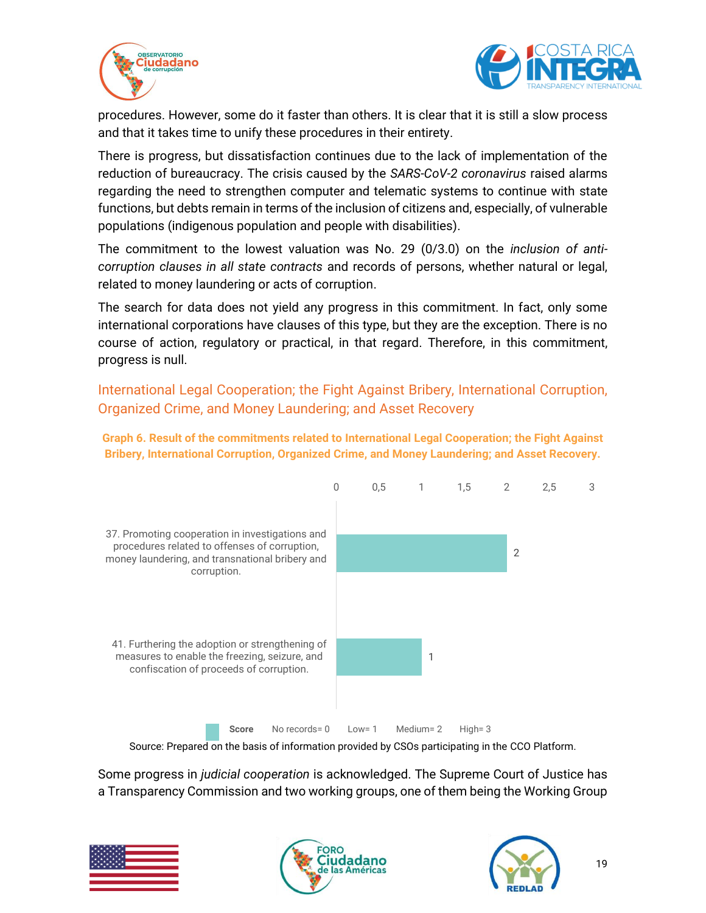



procedures. However, some do it faster than others. It is clear that it is still a slow process and that it takes time to unify these procedures in their entirety.

There is progress, but dissatisfaction continues due to the lack of implementation of the reduction of bureaucracy. The crisis caused by the *SARS-CoV-2 coronavirus* raised alarms regarding the need to strengthen computer and telematic systems to continue with state functions, but debts remain in terms of the inclusion of citizens and, especially, of vulnerable populations (indigenous population and people with disabilities).

The commitment to the lowest valuation was No. 29 (0/3.0) on the *inclusion of anticorruption clauses in all state contracts* and records of persons, whether natural or legal, related to money laundering or acts of corruption.

The search for data does not yield any progress in this commitment. In fact, only some international corporations have clauses of this type, but they are the exception. There is no course of action, regulatory or practical, in that regard. Therefore, in this commitment, progress is null.

<span id="page-18-0"></span>International Legal Cooperation; the Fight Against Bribery, International Corruption, Organized Crime, and Money Laundering; and Asset Recovery

**Graph 6. Result of the commitments related to International Legal Cooperation; the Fight Against Bribery, International Corruption, Organized Crime, and Money Laundering; and Asset Recovery.**



Source: Prepared on the basis of information provided by CSOs participating in the CCO Platform.

Some progress in *judicial cooperation* is acknowledged. The Supreme Court of Justice has a Transparency Commission and two working groups, one of them being the Working Group





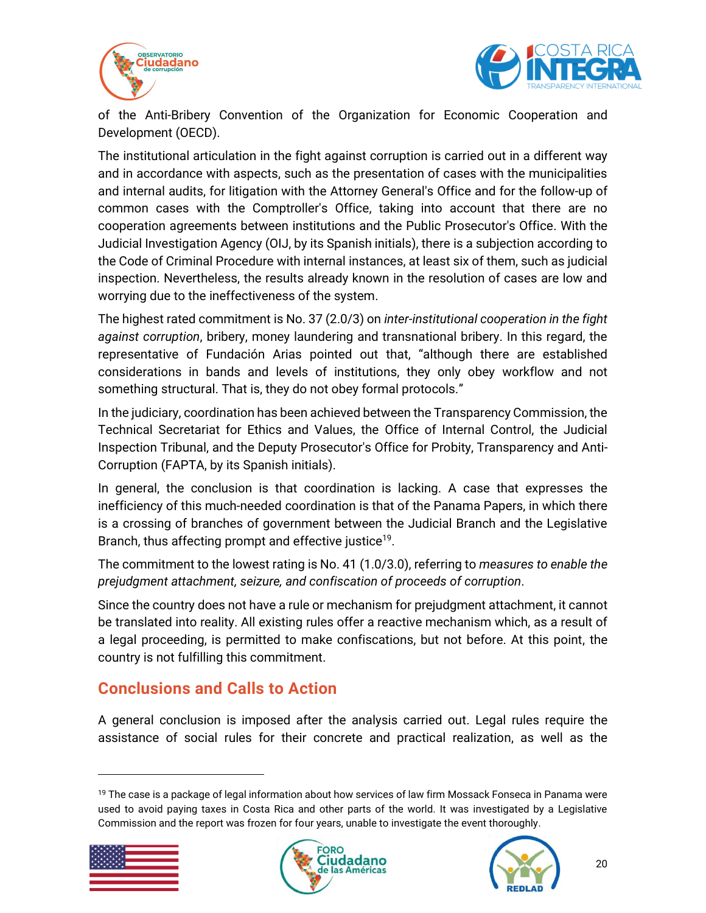



of the Anti-Bribery Convention of the Organization for Economic Cooperation and Development (OECD).

The institutional articulation in the fight against corruption is carried out in a different way and in accordance with aspects, such as the presentation of cases with the municipalities and internal audits, for litigation with the Attorney General's Office and for the follow-up of common cases with the Comptroller's Office, taking into account that there are no cooperation agreements between institutions and the Public Prosecutor's Office. With the Judicial Investigation Agency (OIJ, by its Spanish initials), there is a subjection according to the Code of Criminal Procedure with internal instances, at least six of them, such as judicial inspection. Nevertheless, the results already known in the resolution of cases are low and worrying due to the ineffectiveness of the system.

The highest rated commitment is No. 37 (2.0/3) on *inter-institutional cooperation in the fight against corruption*, bribery, money laundering and transnational bribery. In this regard, the representative of Fundación Arias pointed out that, "although there are established considerations in bands and levels of institutions, they only obey workflow and not something structural. That is, they do not obey formal protocols."

In the judiciary, coordination has been achieved between the Transparency Commission, the Technical Secretariat for Ethics and Values, the Office of Internal Control, the Judicial Inspection Tribunal, and the Deputy Prosecutor's Office for Probity, Transparency and Anti-Corruption (FAPTA, by its Spanish initials).

In general, the conclusion is that coordination is lacking. A case that expresses the inefficiency of this much-needed coordination is that of the Panama Papers, in which there is a crossing of branches of government between the Judicial Branch and the Legislative Branch, thus affecting prompt and effective justice<sup>19</sup>.

The commitment to the lowest rating is No. 41 (1.0/3.0), referring to *measures to enable the prejudgment attachment, seizure, and confiscation of proceeds of corruption*.

Since the country does not have a rule or mechanism for prejudgment attachment, it cannot be translated into reality. All existing rules offer a reactive mechanism which, as a result of a legal proceeding, is permitted to make confiscations, but not before. At this point, the country is not fulfilling this commitment.

## <span id="page-19-0"></span>**Conclusions and Calls to Action**

A general conclusion is imposed after the analysis carried out. Legal rules require the assistance of social rules for their concrete and practical realization, as well as the

<sup>&</sup>lt;sup>19</sup> The case is a package of legal information about how services of law firm Mossack Fonseca in Panama were used to avoid paying taxes in Costa Rica and other parts of the world. It was investigated by a Legislative Commission and the report was frozen for four years, unable to investigate the event thoroughly.





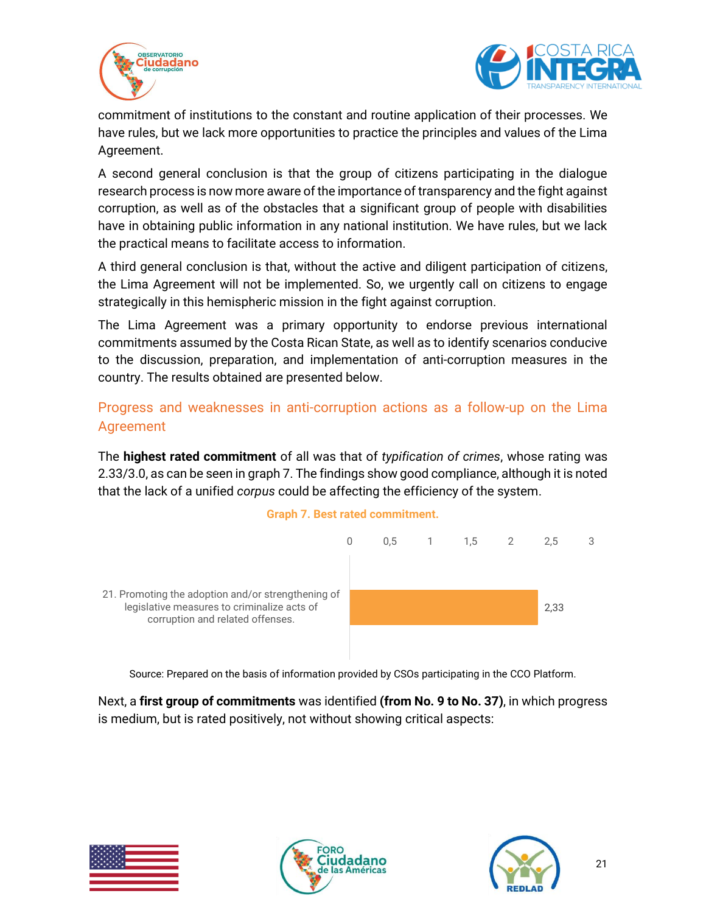



commitment of institutions to the constant and routine application of their processes. We have rules, but we lack more opportunities to practice the principles and values of the Lima Agreement.

A second general conclusion is that the group of citizens participating in the dialogue research process is now more aware of the importance of transparency and the fight against corruption, as well as of the obstacles that a significant group of people with disabilities have in obtaining public information in any national institution. We have rules, but we lack the practical means to facilitate access to information.

A third general conclusion is that, without the active and diligent participation of citizens, the Lima Agreement will not be implemented. So, we urgently call on citizens to engage strategically in this hemispheric mission in the fight against corruption.

The Lima Agreement was a primary opportunity to endorse previous international commitments assumed by the Costa Rican State, as well as to identify scenarios conducive to the discussion, preparation, and implementation of anti-corruption measures in the country. The results obtained are presented below.

## <span id="page-20-0"></span>Progress and weaknesses in anti-corruption actions as a follow-up on the Lima Agreement

The **highest rated commitment** of all was that of *typification of crimes*, whose rating was 2.33/3.0, as can be seen in graph 7. The findings show good compliance, although it is noted that the lack of a unified *corpus* could be affecting the efficiency of the system.





Source: Prepared on the basis of information provided by CSOs participating in the CCO Platform.

Next, a **first group of commitments** was identified **(from No. 9 to No. 37)**, in which progress is medium, but is rated positively, not without showing critical aspects:





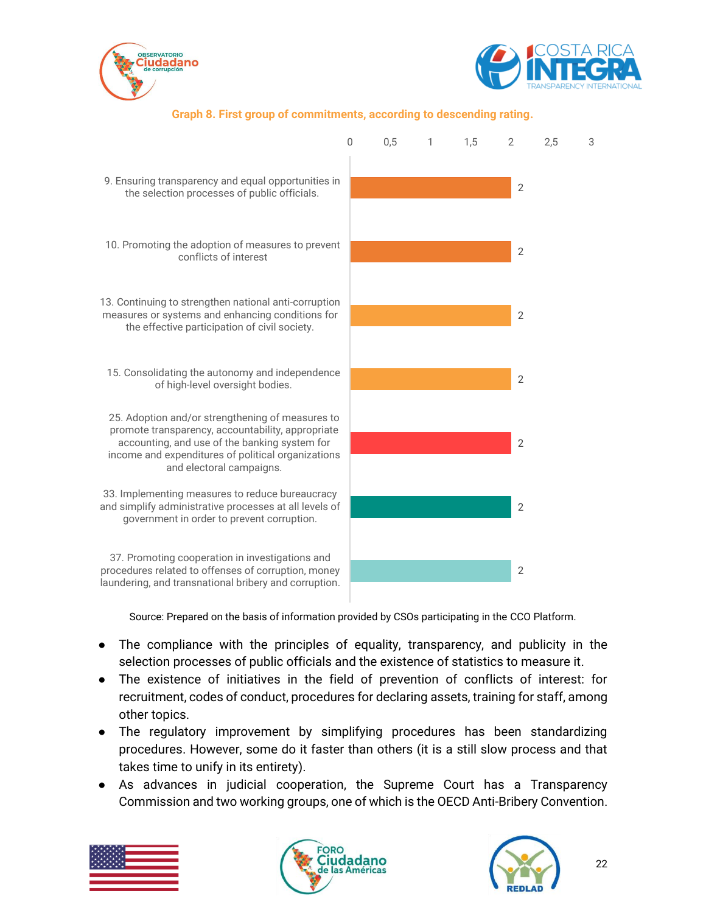



#### **Graph 8. First group of commitments, according to descending rating.**



Source: Prepared on the basis of information provided by CSOs participating in the CCO Platform.

- The compliance with the principles of equality, transparency, and publicity in the selection processes of public officials and the existence of statistics to measure it.
- The existence of initiatives in the field of prevention of conflicts of interest: for recruitment, codes of conduct, procedures for declaring assets, training for staff, among other topics.
- The regulatory improvement by simplifying procedures has been standardizing procedures. However, some do it faster than others (it is a still slow process and that takes time to unify in its entirety).
- As advances in judicial cooperation, the Supreme Court has a Transparency Commission and two working groups, one of which is the OECD Anti-Bribery Convention.





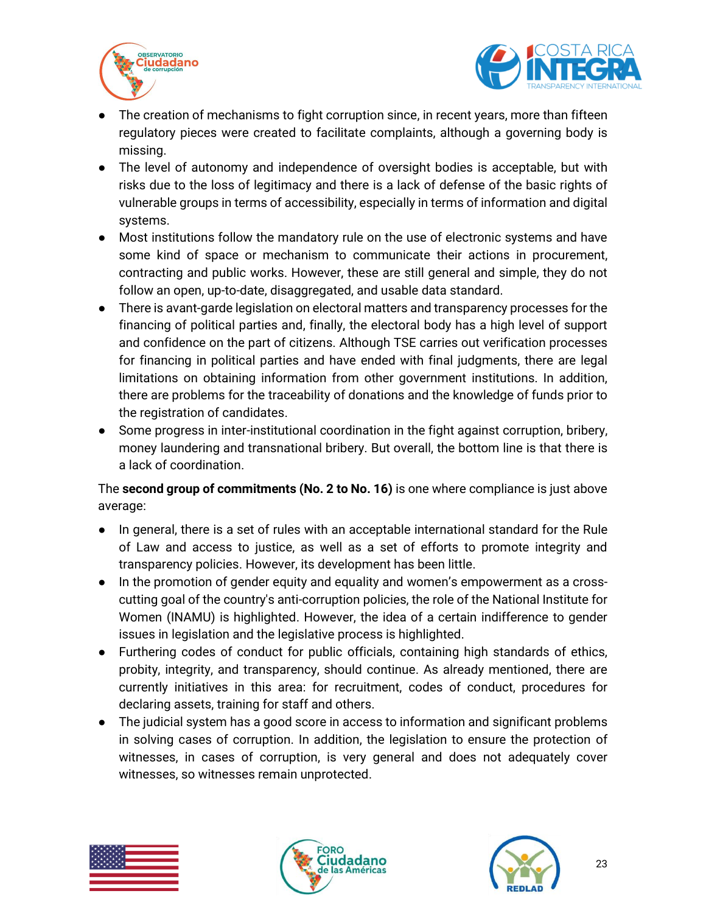



- The creation of mechanisms to fight corruption since, in recent years, more than fifteen regulatory pieces were created to facilitate complaints, although a governing body is missing.
- The level of autonomy and independence of oversight bodies is acceptable, but with risks due to the loss of legitimacy and there is a lack of defense of the basic rights of vulnerable groups in terms of accessibility, especially in terms of information and digital systems.
- Most institutions follow the mandatory rule on the use of electronic systems and have some kind of space or mechanism to communicate their actions in procurement, contracting and public works. However, these are still general and simple, they do not follow an open, up-to-date, disaggregated, and usable data standard.
- There is avant-garde legislation on electoral matters and transparency processes for the financing of political parties and, finally, the electoral body has a high level of support and confidence on the part of citizens. Although TSE carries out verification processes for financing in political parties and have ended with final judgments, there are legal limitations on obtaining information from other government institutions. In addition, there are problems for the traceability of donations and the knowledge of funds prior to the registration of candidates.
- Some progress in inter-institutional coordination in the fight against corruption, bribery, money laundering and transnational bribery. But overall, the bottom line is that there is a lack of coordination.

The **second group of commitments (No. 2 to No. 16)** is one where compliance is just above average:

- In general, there is a set of rules with an acceptable international standard for the Rule of Law and access to justice, as well as a set of efforts to promote integrity and transparency policies. However, its development has been little.
- In the promotion of gender equity and equality and women's empowerment as a crosscutting goal of the country's anti-corruption policies, the role of the National Institute for Women (INAMU) is highlighted. However, the idea of a certain indifference to gender issues in legislation and the legislative process is highlighted.
- Furthering codes of conduct for public officials, containing high standards of ethics, probity, integrity, and transparency, should continue. As already mentioned, there are currently initiatives in this area: for recruitment, codes of conduct, procedures for declaring assets, training for staff and others.
- The judicial system has a good score in access to information and significant problems in solving cases of corruption. In addition, the legislation to ensure the protection of witnesses, in cases of corruption, is very general and does not adequately cover witnesses, so witnesses remain unprotected.





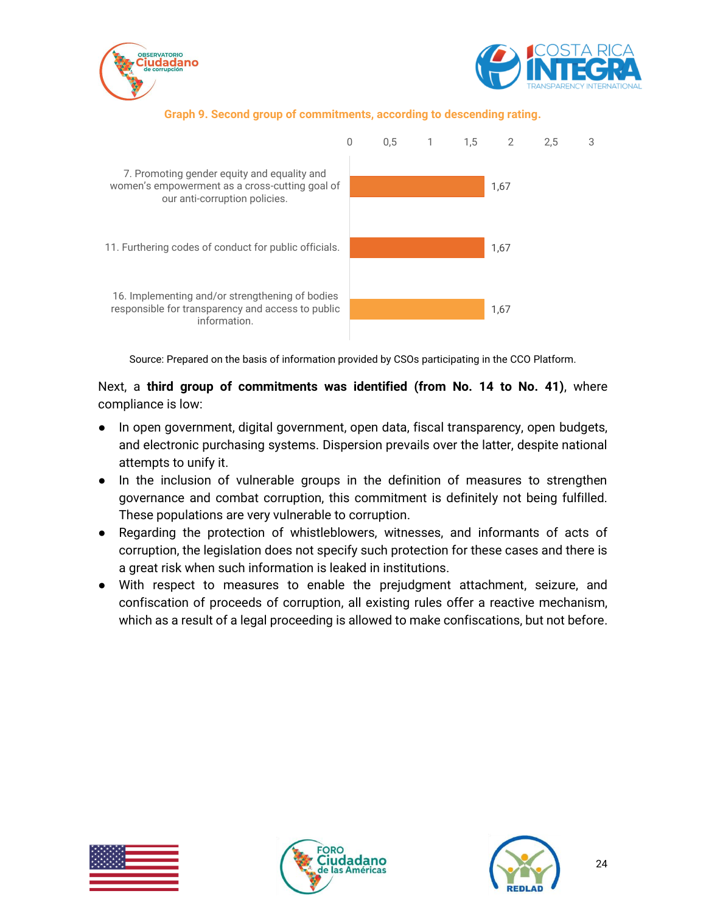



#### **Graph 9. Second group of commitments, according to descending rating.**



Source: Prepared on the basis of information provided by CSOs participating in the CCO Platform.

Next, a **third group of commitments was identified (from No. 14 to No. 41)**, where compliance is low:

- In open government, digital government, open data, fiscal transparency, open budgets, and electronic purchasing systems. Dispersion prevails over the latter, despite national attempts to unify it.
- In the inclusion of vulnerable groups in the definition of measures to strengthen governance and combat corruption, this commitment is definitely not being fulfilled. These populations are very vulnerable to corruption.
- Regarding the protection of whistleblowers, witnesses, and informants of acts of corruption, the legislation does not specify such protection for these cases and there is a great risk when such information is leaked in institutions.
- With respect to measures to enable the prejudgment attachment, seizure, and confiscation of proceeds of corruption, all existing rules offer a reactive mechanism, which as a result of a legal proceeding is allowed to make confiscations, but not before.





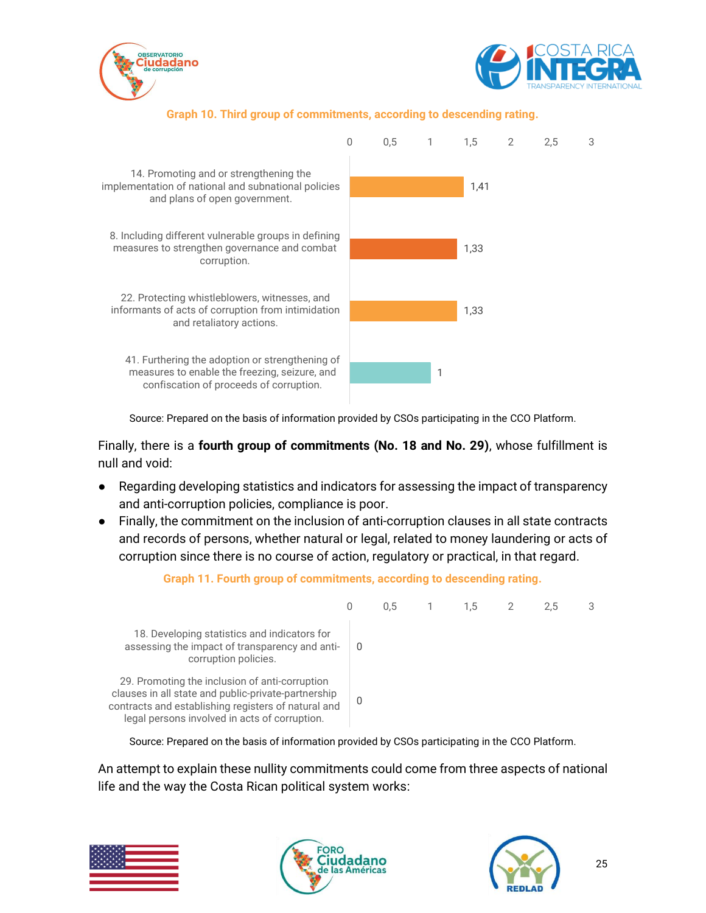



#### **Graph 10. Third group of commitments, according to descending rating.**



Source: Prepared on the basis of information provided by CSOs participating in the CCO Platform.

Finally, there is a **fourth group of commitments (No. 18 and No. 29)**, whose fulfillment is null and void:

- Regarding developing statistics and indicators for assessing the impact of transparency and anti-corruption policies, compliance is poor.
- Finally, the commitment on the inclusion of anti-corruption clauses in all state contracts and records of persons, whether natural or legal, related to money laundering or acts of corruption since there is no course of action, regulatory or practical, in that regard.



**Graph 11. Fourth group of commitments, according to descending rating.**

Source: Prepared on the basis of information provided by CSOs participating in the CCO Platform.

An attempt to explain these nullity commitments could come from three aspects of national life and the way the Costa Rican political system works:





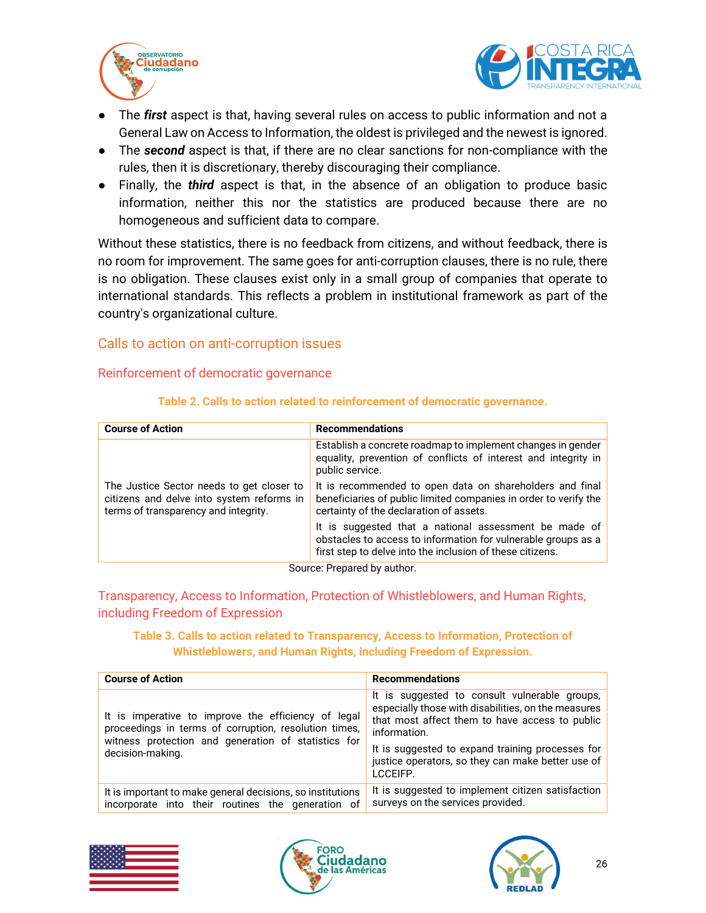



- The *first* aspect is that, having several rules on access to public information and not a General Law on Access to Information, the oldest is privileged and the newest is ignored.
- The *second* aspect is that, if there are no clear sanctions for non-compliance with the rules, then it is discretionary, thereby discouraging their compliance.
- Finally, the *third* aspect is that, in the absence of an obligation to produce basic information, neither this nor the statistics are produced because there are no homogeneous and sufficient data to compare.

Without these statistics, there is no feedback from citizens, and without feedback, there is no room for improvement. The same goes for anti-corruption clauses, there is no rule, there is no obligation. These clauses exist only in a small group of companies that operate to international standards. This reflects a problem in institutional framework as part of the country's organizational culture.

#### <span id="page-25-0"></span>Calls to action on anti-corruption issues

#### <span id="page-25-1"></span>Reinforcement of democratic governance

| <b>Course of Action</b>                                                                                                        | <b>Recommendations</b>                                                                                                                                                              |
|--------------------------------------------------------------------------------------------------------------------------------|-------------------------------------------------------------------------------------------------------------------------------------------------------------------------------------|
|                                                                                                                                | Establish a concrete roadmap to implement changes in gender<br>equality, prevention of conflicts of interest and integrity in<br>public service.                                    |
| The Justice Sector needs to get closer to<br>citizens and delve into system reforms in<br>terms of transparency and integrity. | It is recommended to open data on shareholders and final<br>beneficiaries of public limited companies in order to verify the<br>certainty of the declaration of assets.             |
|                                                                                                                                | It is suggested that a national assessment be made of<br>obstacles to access to information for vulnerable groups as a<br>first step to delve into the inclusion of these citizens. |

#### **Table 2. Calls to action related to reinforcement of democratic governance.**

Source: Prepared by author.

<span id="page-25-2"></span>Transparency, Access to Information, Protection of Whistleblowers, and Human Rights, including Freedom of Expression

#### **Table 3. Calls to action related to Transparency, Access to Information, Protection of Whistleblowers, and Human Rights, including Freedom of Expression.**

| <b>Course of Action</b>                                                                                         | <b>Recommendations</b>                                                                                                                                                 |
|-----------------------------------------------------------------------------------------------------------------|------------------------------------------------------------------------------------------------------------------------------------------------------------------------|
| It is imperative to improve the efficiency of legal<br>proceedings in terms of corruption, resolution times,    | It is suggested to consult vulnerable groups,<br>especially those with disabilities, on the measures<br>that most affect them to have access to public<br>information. |
| witness protection and generation of statistics for<br>decision-making.                                         | It is suggested to expand training processes for<br>justice operators, so they can make better use of<br>LCCFIFP.                                                      |
| It is important to make general decisions, so institutions<br>incorporate into their routines the generation of | It is suggested to implement citizen satisfaction<br>surveys on the services provided.                                                                                 |





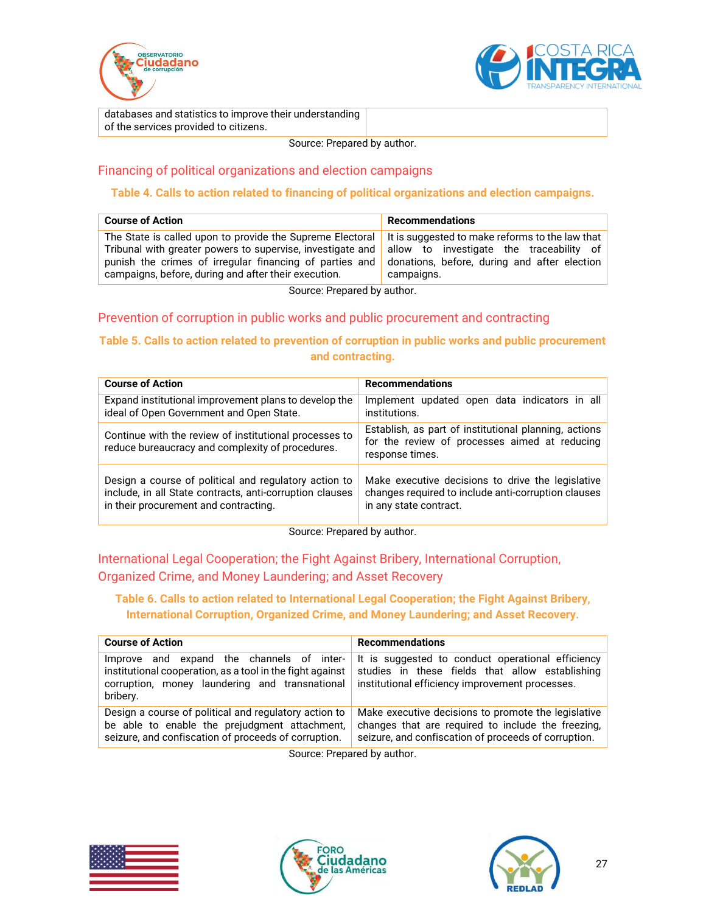



databases and statistics to improve their understanding of the services provided to citizens.

Source: Prepared by author.

### <span id="page-26-0"></span>Financing of political organizations and election campaigns

#### **Table 4. Calls to action related to financing of political organizations and election campaigns.**

| <b>Course of Action</b>                                    | <b>Recommendations</b>                          |
|------------------------------------------------------------|-------------------------------------------------|
| The State is called upon to provide the Supreme Electoral  | It is suggested to make reforms to the law that |
| Tribunal with greater powers to supervise, investigate and | allow to investigate the traceability of        |
| punish the crimes of irregular financing of parties and    | donations, before, during and after election    |
| campaigns, before, during and after their execution.       | campaigns.                                      |

Source: Prepared by author.

#### <span id="page-26-1"></span>Prevention of corruption in public works and public procurement and contracting

#### **Table 5. Calls to action related to prevention of corruption in public works and public procurement and contracting.**

| <b>Course of Action</b>                                                                                    | <b>Recommendations</b>                                                                                                    |
|------------------------------------------------------------------------------------------------------------|---------------------------------------------------------------------------------------------------------------------------|
| Expand institutional improvement plans to develop the                                                      | Implement updated open data indicators in all                                                                             |
| ideal of Open Government and Open State.                                                                   | institutions.                                                                                                             |
| Continue with the review of institutional processes to<br>reduce bureaucracy and complexity of procedures. | Establish, as part of institutional planning, actions<br>for the review of processes aimed at reducing<br>response times. |
| Design a course of political and regulatory action to                                                      | Make executive decisions to drive the legislative                                                                         |
| include, in all State contracts, anti-corruption clauses                                                   | changes required to include anti-corruption clauses                                                                       |
| in their procurement and contracting.                                                                      | in any state contract.                                                                                                    |

Source: Prepared by author.

### <span id="page-26-2"></span>International Legal Cooperation; the Fight Against Bribery, International Corruption, Organized Crime, and Money Laundering; and Asset Recovery

#### **Table 6. Calls to action related to International Legal Cooperation; the Fight Against Bribery, International Corruption, Organized Crime, and Money Laundering; and Asset Recovery.**

| <b>Course of Action</b>                                                                                                                                                 | <b>Recommendations</b>                                                                                                                                            |
|-------------------------------------------------------------------------------------------------------------------------------------------------------------------------|-------------------------------------------------------------------------------------------------------------------------------------------------------------------|
|                                                                                                                                                                         |                                                                                                                                                                   |
| and expand the channels of inter-<br>Improve<br>institutional cooperation, as a tool in the fight against<br>corruption, money laundering and transnational<br>bribery. | It is suggested to conduct operational efficiency<br>studies in these fields that allow establishing<br>institutional efficiency improvement processes.           |
| Design a course of political and regulatory action to<br>be able to enable the prejudgment attachment,<br>seizure, and confiscation of proceeds of corruption.          | Make executive decisions to promote the legislative<br>changes that are required to include the freezing,<br>seizure, and confiscation of proceeds of corruption. |
|                                                                                                                                                                         |                                                                                                                                                                   |

Source: Prepared by author.





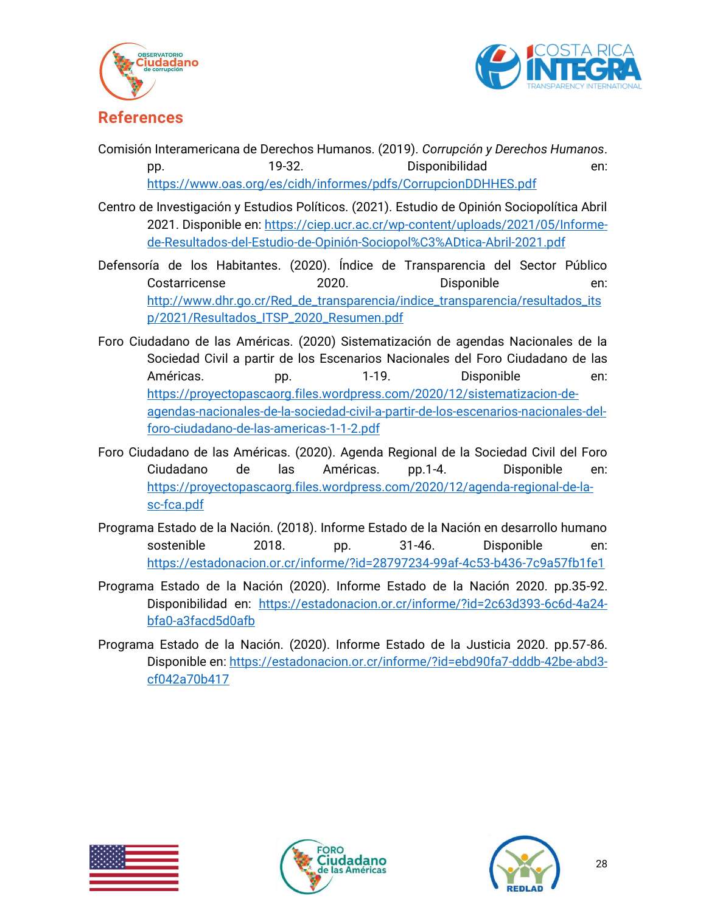



## <span id="page-27-0"></span>**References**

- Comisión Interamericana de Derechos Humanos. (2019). *Corrupción y Derechos Humanos*. pp. 19-32. Disponibilidad en: <https://www.oas.org/es/cidh/informes/pdfs/CorrupcionDDHHES.pdf>
- Centro de Investigación y Estudios Políticos. (2021). Estudio de Opinión Sociopolítica Abril 2021. Disponible en: [https://ciep.ucr.ac.cr/wp-content/uploads/2021/05/Informe](https://ciep.ucr.ac.cr/wp-content/uploads/2021/05/Informe-de-Resultados-del-Estudio-de-Opinión-Sociopol%C3%ADtica-Abril-2021.pdf)[de-Resultados-del-Estudio-de-Opinión-Sociopol%C3%ADtica-Abril-2021.pdf](https://ciep.ucr.ac.cr/wp-content/uploads/2021/05/Informe-de-Resultados-del-Estudio-de-Opinión-Sociopol%C3%ADtica-Abril-2021.pdf)
- Defensoría de los Habitantes. (2020). Índice de Transparencia del Sector Público Costarricense 2020. Disponible en: [http://www.dhr.go.cr/Red\\_de\\_transparencia/indice\\_transparencia/resultados\\_its](http://www.dhr.go.cr/Red_de_transparencia/indice_transparencia/resultados_itsp/2021/Resultados_ITSP_2020_Resumen.pdf) [p/2021/Resultados\\_ITSP\\_2020\\_Resumen.pdf](http://www.dhr.go.cr/Red_de_transparencia/indice_transparencia/resultados_itsp/2021/Resultados_ITSP_2020_Resumen.pdf)
- Foro Ciudadano de las Américas. (2020) Sistematización de agendas Nacionales de la Sociedad Civil a partir de los Escenarios Nacionales del Foro Ciudadano de las Américas. pp. 1-19. Disponible en: [https://proyectopascaorg.files.wordpress.com/2020/12/sistematizacion-de](https://proyectopascaorg.files.wordpress.com/2020/12/sistematizacion-de-agendas-nacionales-de-la-sociedad-civil-a-partir-de-los-escenarios-nacionales-del-foro-ciudadano-de-las-americas-1-1-2.pdf)[agendas-nacionales-de-la-sociedad-civil-a-partir-de-los-escenarios-nacionales-del](https://proyectopascaorg.files.wordpress.com/2020/12/sistematizacion-de-agendas-nacionales-de-la-sociedad-civil-a-partir-de-los-escenarios-nacionales-del-foro-ciudadano-de-las-americas-1-1-2.pdf)[foro-ciudadano-de-las-americas-1-1-2.pdf](https://proyectopascaorg.files.wordpress.com/2020/12/sistematizacion-de-agendas-nacionales-de-la-sociedad-civil-a-partir-de-los-escenarios-nacionales-del-foro-ciudadano-de-las-americas-1-1-2.pdf)
- Foro Ciudadano de las Américas. (2020). Agenda Regional de la Sociedad Civil del Foro Ciudadano de las Américas. pp.1-4. Disponible en: [https://proyectopascaorg.files.wordpress.com/2020/12/agenda-regional-de-la](https://proyectopascaorg.files.wordpress.com/2020/12/agenda-regional-de-la-sc-fca.pdf)[sc-fca.pdf](https://proyectopascaorg.files.wordpress.com/2020/12/agenda-regional-de-la-sc-fca.pdf)
- Programa Estado de la Nación. (2018). Informe Estado de la Nación en desarrollo humano sostenible 2018. pp. 31-46. Disponible en: <https://estadonacion.or.cr/informe/?id=28797234-99af-4c53-b436-7c9a57fb1fe1>
- Programa Estado de la Nación (2020). Informe Estado de la Nación 2020. pp.35-92. Disponibilidad en: [https://estadonacion.or.cr/informe/?id=2c63d393-6c6d-4a24](https://estadonacion.or.cr/informe/?id=2c63d393-6c6d-4a24-bfa0-a3facd5d0afb) [bfa0-a3facd5d0afb](https://estadonacion.or.cr/informe/?id=2c63d393-6c6d-4a24-bfa0-a3facd5d0afb)
- Programa Estado de la Nación. (2020). Informe Estado de la Justicia 2020. pp.57-86. Disponible en: [https://estadonacion.or.cr/informe/?id=ebd90fa7-dddb-42be-abd3](https://estadonacion.or.cr/informe/?id=ebd90fa7-dddb-42be-abd3-cf042a70b417) [cf042a70b417](https://estadonacion.or.cr/informe/?id=ebd90fa7-dddb-42be-abd3-cf042a70b417)





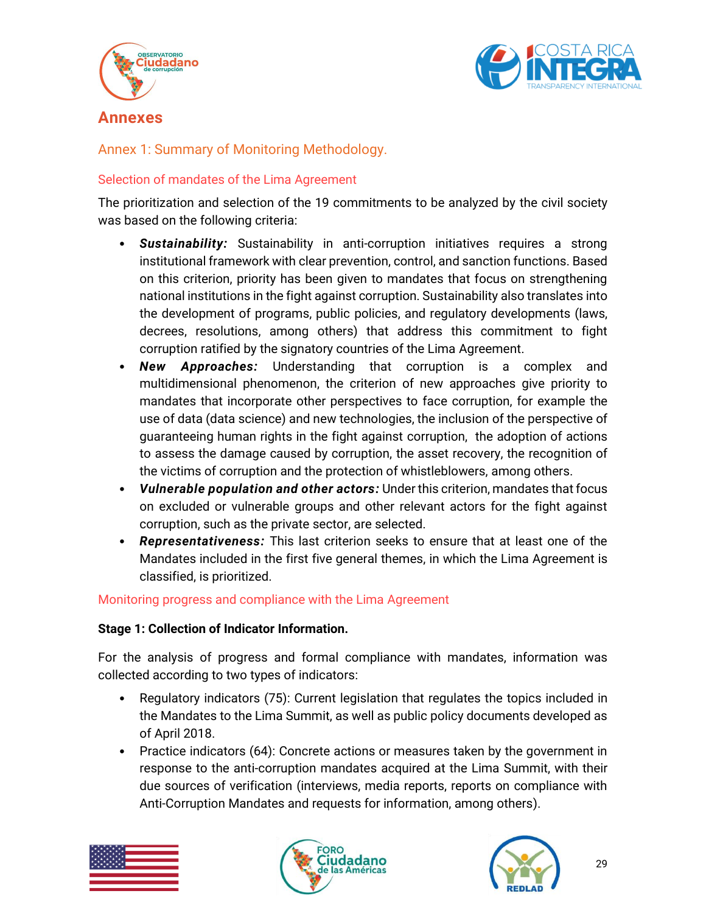



<span id="page-28-0"></span>**Annexes**

<span id="page-28-1"></span>Annex 1: Summary of Monitoring Methodology.

## <span id="page-28-2"></span>Selection of mandates of the Lima Agreement

The prioritization and selection of the 19 commitments to be analyzed by the civil society was based on the following criteria:

- *Sustainability:* Sustainability in anti-corruption initiatives requires a strong institutional framework with clear prevention, control, and sanction functions. Based on this criterion, priority has been given to mandates that focus on strengthening national institutions in the fight against corruption. Sustainability also translates into the development of programs, public policies, and regulatory developments (laws, decrees, resolutions, among others) that address this commitment to fight corruption ratified by the signatory countries of the Lima Agreement.
- *New Approaches:* Understanding that corruption is a complex and multidimensional phenomenon, the criterion of new approaches give priority to mandates that incorporate other perspectives to face corruption, for example the use of data (data science) and new technologies, the inclusion of the perspective of guaranteeing human rights in the fight against corruption, the adoption of actions to assess the damage caused by corruption, the asset recovery, the recognition of the victims of corruption and the protection of whistleblowers, among others.
- *Vulnerable population and other actors:* Under this criterion, mandates that focus on excluded or vulnerable groups and other relevant actors for the fight against corruption, such as the private sector, are selected.
- *Representativeness:* This last criterion seeks to ensure that at least one of the Mandates included in the first five general themes, in which the Lima Agreement is classified, is prioritized.

## <span id="page-28-3"></span>Monitoring progress and compliance with the Lima Agreement

### **Stage 1: Collection of Indicator Information.**

For the analysis of progress and formal compliance with mandates, information was collected according to two types of indicators:

- Regulatory indicators (75): Current legislation that regulates the topics included in the Mandates to the Lima Summit, as well as public policy documents developed as of April 2018.
- Practice indicators (64): Concrete actions or measures taken by the government in response to the anti-corruption mandates acquired at the Lima Summit, with their due sources of verification (interviews, media reports, reports on compliance with Anti-Corruption Mandates and requests for information, among others).





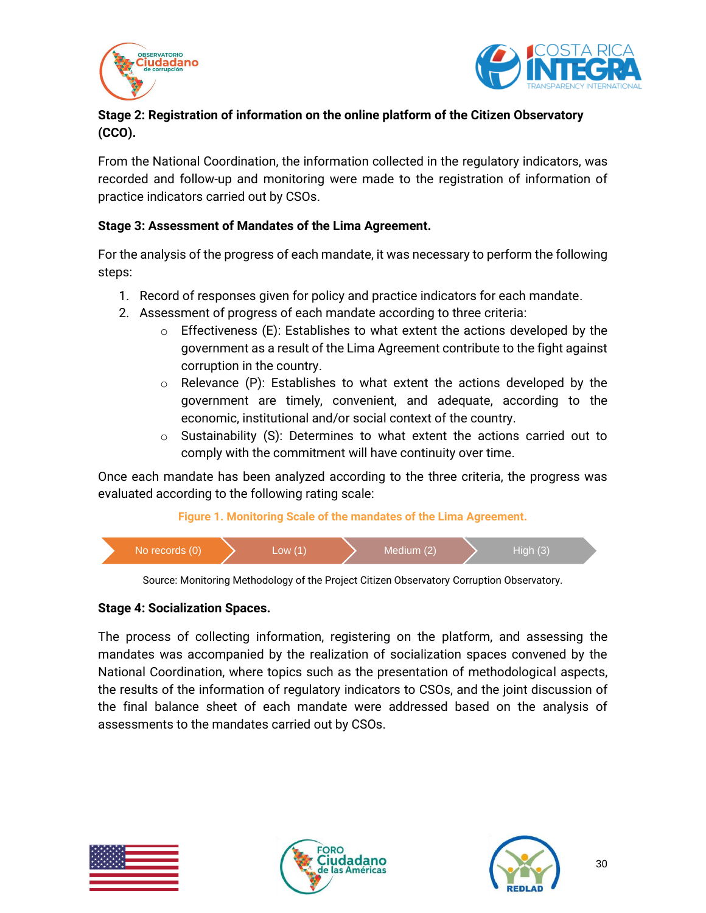



## **Stage 2: Registration of information on the online platform of the Citizen Observatory (CCO).**

From the National Coordination, the information collected in the regulatory indicators, was recorded and follow-up and monitoring were made to the registration of information of practice indicators carried out by CSOs.

### **Stage 3: Assessment of Mandates of the Lima Agreement.**

For the analysis of the progress of each mandate, it was necessary to perform the following steps:

- 1. Record of responses given for policy and practice indicators for each mandate.
- 2. Assessment of progress of each mandate according to three criteria:
	- $\circ$  Effectiveness (E): Establishes to what extent the actions developed by the government as a result of the Lima Agreement contribute to the fight against corruption in the country.
	- $\circ$  Relevance (P): Establishes to what extent the actions developed by the government are timely, convenient, and adequate, according to the economic, institutional and/or social context of the country.
	- $\circ$  Sustainability (S): Determines to what extent the actions carried out to comply with the commitment will have continuity over time.

Once each mandate has been analyzed according to the three criteria, the progress was evaluated according to the following rating scale:

#### **Figure 1. Monitoring Scale of the mandates of the Lima Agreement.**





#### **Stage 4: Socialization Spaces.**

The process of collecting information, registering on the platform, and assessing the mandates was accompanied by the realization of socialization spaces convened by the National Coordination, where topics such as the presentation of methodological aspects, the results of the information of regulatory indicators to CSOs, and the joint discussion of the final balance sheet of each mandate were addressed based on the analysis of assessments to the mandates carried out by CSOs.





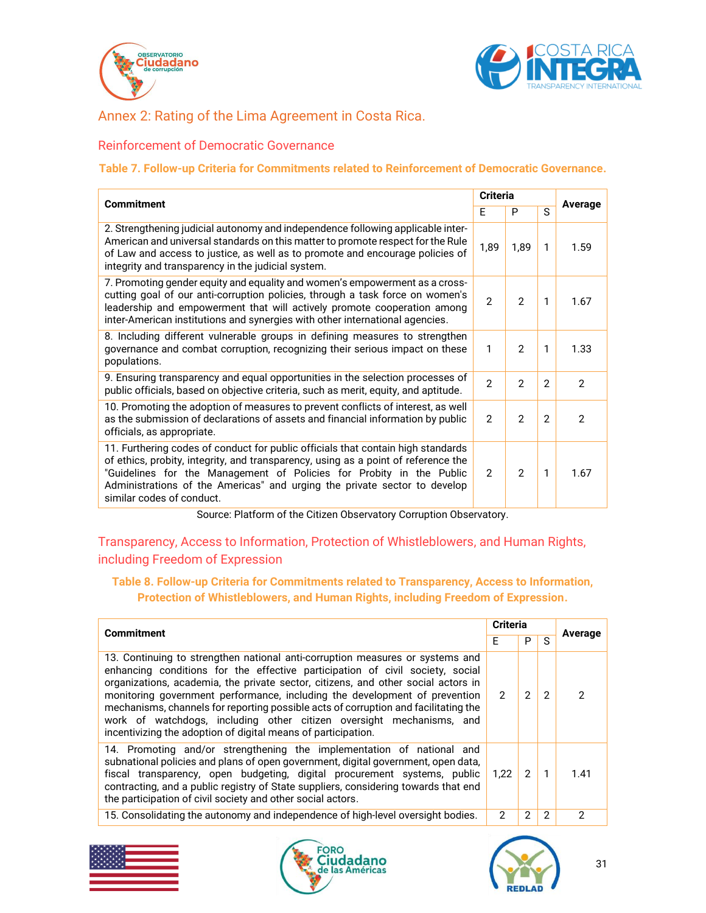



## <span id="page-30-0"></span>Annex 2: Rating of the Lima Agreement in Costa Rica.

#### <span id="page-30-1"></span>Reinforcement of Democratic Governance

#### **Table 7. Follow-up Criteria for Commitments related to Reinforcement of Democratic Governance.**

| <b>Commitment</b>                                                                                                                                                                                                                                                                                                                                        |                | <b>Criteria</b> | Average        |                |
|----------------------------------------------------------------------------------------------------------------------------------------------------------------------------------------------------------------------------------------------------------------------------------------------------------------------------------------------------------|----------------|-----------------|----------------|----------------|
|                                                                                                                                                                                                                                                                                                                                                          |                | P               | S.             |                |
| 2. Strengthening judicial autonomy and independence following applicable inter-<br>American and universal standards on this matter to promote respect for the Rule<br>of Law and access to justice, as well as to promote and encourage policies of<br>integrity and transparency in the judicial system.                                                | 1,89           | 1.89            | 1              | 1.59           |
| 7. Promoting gender equity and equality and women's empowerment as a cross-<br>cutting goal of our anti-corruption policies, through a task force on women's<br>leadership and empowerment that will actively promote cooperation among<br>inter-American institutions and synergies with other international agencies.                                  | $\mathfrak{p}$ | $\mathcal{P}$   | 1              | 1.67           |
| 8. Including different vulnerable groups in defining measures to strengthen<br>governance and combat corruption, recognizing their serious impact on these<br>populations.                                                                                                                                                                               | 1              | $\mathcal{P}$   | 1              | 1.33           |
| 9. Ensuring transparency and equal opportunities in the selection processes of<br>public officials, based on objective criteria, such as merit, equity, and aptitude.                                                                                                                                                                                    | $\mathcal{P}$  | $\mathcal{P}$   | $\mathcal{P}$  | $\mathcal{P}$  |
| 10. Promoting the adoption of measures to prevent conflicts of interest, as well<br>as the submission of declarations of assets and financial information by public<br>officials, as appropriate.                                                                                                                                                        | $\overline{2}$ | $\mathbf{2}$    | $\overline{2}$ | $\overline{2}$ |
| 11. Furthering codes of conduct for public officials that contain high standards<br>of ethics, probity, integrity, and transparency, using as a point of reference the<br>"Guidelines for the Management of Policies for Probity in the Public<br>Administrations of the Americas" and urging the private sector to develop<br>similar codes of conduct. | $\mathcal{P}$  | $\mathcal{P}$   | $\mathbf{1}$   | 1.67           |

Source: Platform of the Citizen Observatory Corruption Observatory.

## <span id="page-30-2"></span>Transparency, Access to Information, Protection of Whistleblowers, and Human Rights, including Freedom of Expression

#### **Table 8. Follow-up Criteria for Commitments related to Transparency, Access to Information, Protection of Whistleblowers, and Human Rights, including Freedom of Expression.**

| <b>Commitment</b>                                                                                                                                                                                                                                                                                                                                                                                                                                                                                                                                                 |               | <b>Criteria</b> |    | Average |  |
|-------------------------------------------------------------------------------------------------------------------------------------------------------------------------------------------------------------------------------------------------------------------------------------------------------------------------------------------------------------------------------------------------------------------------------------------------------------------------------------------------------------------------------------------------------------------|---------------|-----------------|----|---------|--|
|                                                                                                                                                                                                                                                                                                                                                                                                                                                                                                                                                                   |               | P               | S. |         |  |
| 13. Continuing to strengthen national anti-corruption measures or systems and<br>enhancing conditions for the effective participation of civil society, social<br>organizations, academia, the private sector, citizens, and other social actors in<br>monitoring government performance, including the development of prevention<br>mechanisms, channels for reporting possible acts of corruption and facilitating the<br>work of watchdogs, including other citizen oversight mechanisms, and<br>incentivizing the adoption of digital means of participation. | $\mathcal{P}$ | 2               | 2  | 2       |  |
| 14. Promoting and/or strengthening the implementation of national and<br>subnational policies and plans of open government, digital government, open data,<br>fiscal transparency, open budgeting, digital procurement systems, public<br>contracting, and a public registry of State suppliers, considering towards that end<br>the participation of civil society and other social actors.                                                                                                                                                                      | 1,22          | $\mathcal{P}$   |    | 1.41    |  |
| 15. Consolidating the autonomy and independence of high-level oversight bodies.                                                                                                                                                                                                                                                                                                                                                                                                                                                                                   | 2             | 2               | 2  | 2       |  |
|                                                                                                                                                                                                                                                                                                                                                                                                                                                                                                                                                                   |               |                 |    |         |  |





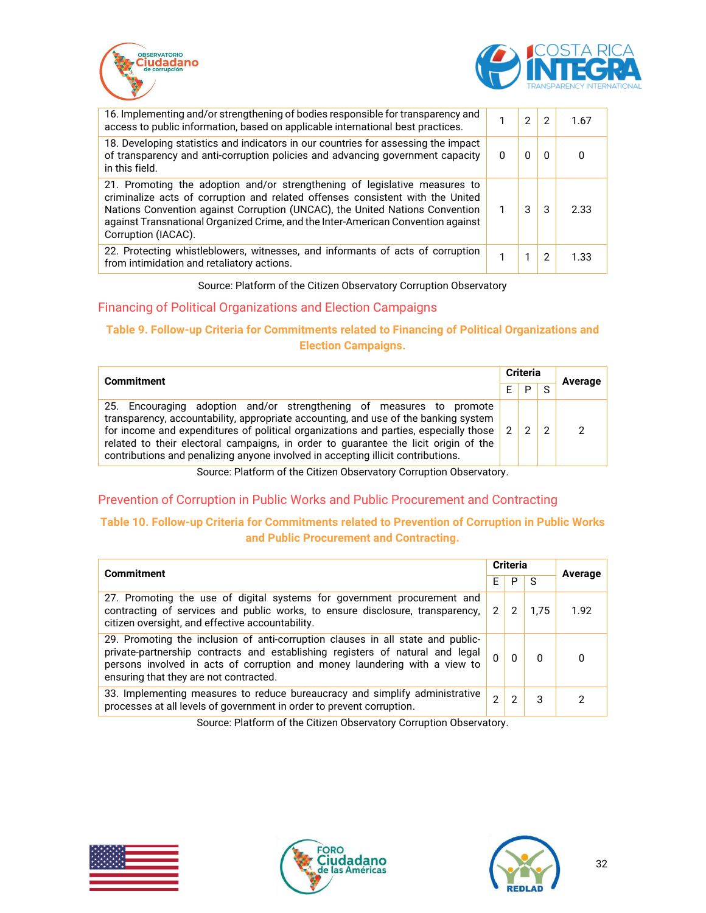



| 16. Implementing and/or strengthening of bodies responsible for transparency and<br>access to public information, based on applicable international best practices.                                                                                                                                                                                     | 2 | 2        | 1.67 |
|---------------------------------------------------------------------------------------------------------------------------------------------------------------------------------------------------------------------------------------------------------------------------------------------------------------------------------------------------------|---|----------|------|
| 18. Developing statistics and indicators in our countries for assessing the impact<br>of transparency and anti-corruption policies and advancing government capacity<br>in this field.                                                                                                                                                                  |   | $\Omega$ |      |
| 21. Promoting the adoption and/or strengthening of legislative measures to<br>criminalize acts of corruption and related offenses consistent with the United<br>Nations Convention against Corruption (UNCAC), the United Nations Convention<br>against Transnational Organized Crime, and the Inter-American Convention against<br>Corruption (IACAC). | 3 | 3        | 2.33 |
| 22. Protecting whistleblowers, witnesses, and informants of acts of corruption<br>from intimidation and retaliatory actions.                                                                                                                                                                                                                            |   | 2        | 1.33 |

Source: Platform of the Citizen Observatory Corruption Observatory

#### <span id="page-31-0"></span>Financing of Political Organizations and Election Campaigns

#### **Table 9. Follow-up Criteria for Commitments related to Financing of Political Organizations and Election Campaigns.**

| <b>Commitment</b>                                                                                                                                                                                                                                                                                                                                                                                                              |   | <b>Criteria</b> |               | Average |
|--------------------------------------------------------------------------------------------------------------------------------------------------------------------------------------------------------------------------------------------------------------------------------------------------------------------------------------------------------------------------------------------------------------------------------|---|-----------------|---------------|---------|
|                                                                                                                                                                                                                                                                                                                                                                                                                                |   | Þ               | $\sim$        |         |
| 25. Encouraging adoption and/or strengthening of measures to promote<br>transparency, accountability, appropriate accounting, and use of the banking system<br>for income and expenditures of political organizations and parties, especially those<br>related to their electoral campaigns, in order to guarantee the licit origin of the<br>contributions and penalizing anyone involved in accepting illicit contributions. | 2 | C               | $\mathcal{D}$ | າ       |

Source: Platform of the Citizen Observatory Corruption Observatory.

#### <span id="page-31-1"></span>Prevention of Corruption in Public Works and Public Procurement and Contracting

#### **Table 10. Follow-up Criteria for Commitments related to Prevention of Corruption in Public Works and Public Procurement and Contracting.**

| <b>Commitment</b>                                                                                                                                                                                                                                                                        |              | <b>Criteria</b> |      | Average      |
|------------------------------------------------------------------------------------------------------------------------------------------------------------------------------------------------------------------------------------------------------------------------------------------|--------------|-----------------|------|--------------|
|                                                                                                                                                                                                                                                                                          | F            | P               | -S   |              |
| 27. Promoting the use of digital systems for government procurement and<br>contracting of services and public works, to ensure disclosure, transparency,<br>citizen oversight, and effective accountability.                                                                             | $\mathbf{2}$ | 2               | 1.75 | 1.92         |
| 29. Promoting the inclusion of anti-corruption clauses in all state and public-<br>private-partnership contracts and establishing registers of natural and legal<br>persons involved in acts of corruption and money laundering with a view to<br>ensuring that they are not contracted. | $\Omega$     |                 | 0    | <sup>0</sup> |
| 33. Implementing measures to reduce bureaucracy and simplify administrative<br>processes at all levels of government in order to prevent corruption.                                                                                                                                     | 2            | 2               | 3    | 2            |

Source: Platform of the Citizen Observatory Corruption Observatory.